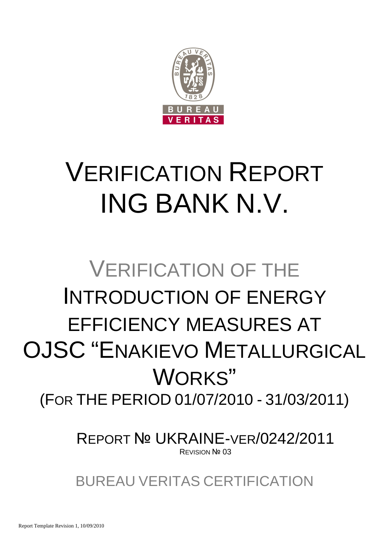

# VERIFICATION REPORT ING BANK N.V.

## VERIFICATION OF THE INTRODUCTION OF ENERGY EFFICIENCY MEASURES AT OJSC "ENAKIEVO METALLURGICAL WORKS" (FOR THE PERIOD 01/07/2010 - 31/03/2011)

REPORT № UKRAINE-VER/0242/2011 **REVISION Nº 03** 

BUREAU VERITAS CERTIFICATION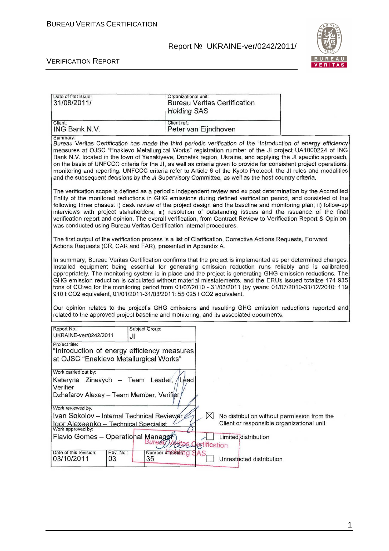

| Date of first issue:<br>31/08/2011/                                                                                                                                                                                                                                                                                                                                                                                                                                                                                                                                                                                                                                                                    | Organizational unit:<br><b>Holding SAS</b> | <b>Bureau Veritas Certification</b>                                                      |  |  |
|--------------------------------------------------------------------------------------------------------------------------------------------------------------------------------------------------------------------------------------------------------------------------------------------------------------------------------------------------------------------------------------------------------------------------------------------------------------------------------------------------------------------------------------------------------------------------------------------------------------------------------------------------------------------------------------------------------|--------------------------------------------|------------------------------------------------------------------------------------------|--|--|
| Client:<br>ING Bank N.V.                                                                                                                                                                                                                                                                                                                                                                                                                                                                                                                                                                                                                                                                               | Client ref.:<br>Peter van Eijndhoven       |                                                                                          |  |  |
| Summary:<br>Bureau Veritas Certification has made the third periodic verification of the "Introduction of energy efficiency<br>measures at OJSC "Enakievo Metallurgical Works" registration number of the JI project UA1000224 of ING<br>Bank N.V. located in the town of Yenakiyeve, Donetsk region, Ukraine, and applying the JI specific approach,<br>on the basis of UNFCCC criteria for the JI, as well as criteria given to provide for consistent project operations,<br>monitoring and reporting. UNFCCC criteria refer to Article 6 of the Kyoto Protocol, the JI rules and modalities<br>and the subsequent decisions by the JI Supervisory Committee, as well as the host country criteria. |                                            |                                                                                          |  |  |
| The verification scope is defined as a periodic independent review and ex post determination by the Accredited<br>Entity of the monitored reductions in GHG emissions during defined verification period, and consisted of the<br>following three phases: i) desk review of the project design and the baseline and monitoring plan; ii) follow-up<br>interviews with project stakeholders; iii) resolution of outstanding issues and the issuance of the final<br>verification report and opinion. The overall verification, from Contract Review to Verification Report & Opinion,<br>was conducted using Bureau Veritas Certification internal procedures.                                          |                                            |                                                                                          |  |  |
| The first output of the verification process is a list of Clarification, Corrective Actions Requests, Forward<br>Actions Requests (CR, CAR and FAR), presented in Appendix A.                                                                                                                                                                                                                                                                                                                                                                                                                                                                                                                          |                                            |                                                                                          |  |  |
| In summary, Bureau Veritas Certification confirms that the project is implemented as per determined changes.<br>Installed equipment being essential for generating emission reduction runs reliably and is calibrated<br>appropriately. The monitoring system is in place and the project is generating GHG emission reductions. The<br>GHG emission reduction is calculated without material misstatements, and the ERUs issued totalize 174 935<br>tons of CO2eq for the monitoring period from 01/07/2010 - 31/03/2011 (by years: 01/07/2010-31/12/2010: 119<br>910 t CO2 equivalent, 01/01/2011-31/03/2011: 55 025 t CO2 equivalent.                                                               |                                            |                                                                                          |  |  |
| Our opinion relates to the project's GHG emissions and resulting GHG emission reductions reported and<br>related to the approved project baseline and monitoring, and its associated documents.                                                                                                                                                                                                                                                                                                                                                                                                                                                                                                        |                                            |                                                                                          |  |  |
| Report No.:<br>Subject Group:<br>UKRAINE-ver/0242/2011<br>JI                                                                                                                                                                                                                                                                                                                                                                                                                                                                                                                                                                                                                                           |                                            |                                                                                          |  |  |
| Project title:<br>"Introduction of energy efficiency measures<br>at OJSC "Enakievo Metallurgical Works"                                                                                                                                                                                                                                                                                                                                                                                                                                                                                                                                                                                                |                                            |                                                                                          |  |  |
| Work carried out by:<br>Kateryna Zinevych - Team Leader, /Lead<br>Verifier<br>Dzhafarov Alexey - Team Member, Verifier                                                                                                                                                                                                                                                                                                                                                                                                                                                                                                                                                                                 |                                            |                                                                                          |  |  |
| Work reviewed by:<br>Ivan Sokolov - Internal Technical Reviewer<br>Igor Alexeenko - Technical Specialist<br>Work approved by:                                                                                                                                                                                                                                                                                                                                                                                                                                                                                                                                                                          | $\bowtie$                                  | No distribution without permission from the<br>Client or responsible organizational unit |  |  |
| Flavio Gomes – Operational Manager<br>Burez                                                                                                                                                                                                                                                                                                                                                                                                                                                                                                                                                                                                                                                            | <b>Alas Cestification</b>                  | Limited distribution                                                                     |  |  |
| Rev. No.:<br>Date of this revision:<br>03/10/2011<br>03<br>35                                                                                                                                                                                                                                                                                                                                                                                                                                                                                                                                                                                                                                          | Number of pages 1g SAS                     | Unrestricted distribution                                                                |  |  |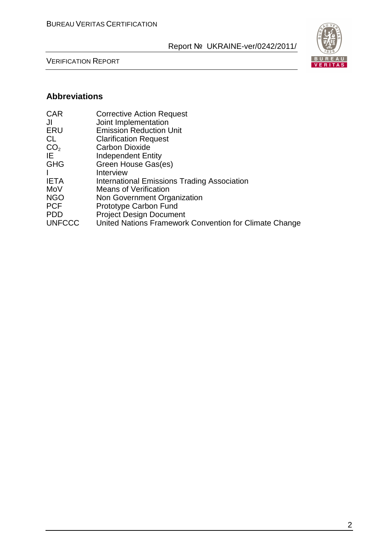

VERIFICATION REPORT

#### **Abbreviations**

| <b>Corrective Action Request</b>                       |
|--------------------------------------------------------|
| Joint Implementation                                   |
| <b>Emission Reduction Unit</b>                         |
| <b>Clarification Request</b>                           |
| <b>Carbon Dioxide</b>                                  |
| <b>Independent Entity</b>                              |
| Green House Gas(es)                                    |
| Interview                                              |
| International Emissions Trading Association            |
| <b>Means of Verification</b>                           |
| Non Government Organization                            |
| Prototype Carbon Fund                                  |
| <b>Project Design Document</b>                         |
| United Nations Framework Convention for Climate Change |
|                                                        |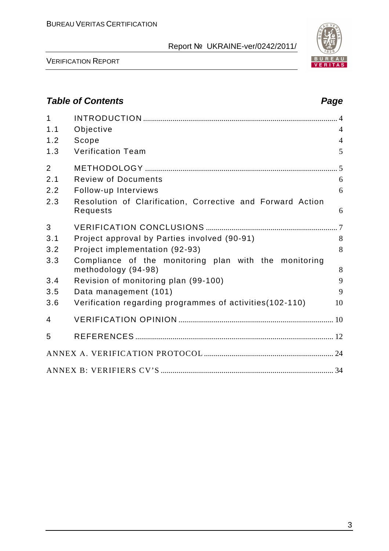

VERIFICATION REPORT

## **Table of Contents Page 2018**

| $\mathbf{1}$            |                                                                              |                |
|-------------------------|------------------------------------------------------------------------------|----------------|
| 1.1                     | Objective                                                                    | $\overline{4}$ |
| 1.2                     | Scope                                                                        | $\overline{4}$ |
| 1.3                     | <b>Verification Team</b>                                                     | 5              |
| $\overline{2}$          |                                                                              |                |
| 2.1                     | <b>Review of Documents</b>                                                   | 6              |
| 2.2                     | Follow-up Interviews                                                         | 6              |
| 2.3                     | Resolution of Clarification, Corrective and Forward Action<br>Requests       | 6              |
| 3                       |                                                                              |                |
| 3.1                     | Project approval by Parties involved (90-91)                                 | 8              |
| 3.2                     | Project implementation (92-93)                                               | 8              |
| 3.3                     | Compliance of the monitoring plan with the monitoring<br>methodology (94-98) | 8              |
| 3.4                     | Revision of monitoring plan (99-100)                                         | 9              |
| 3.5                     | Data management (101)                                                        | 9              |
| 3.6                     | Verification regarding programmes of activities (102-110)                    | 10             |
| $\overline{\mathbf{4}}$ |                                                                              |                |
| 5                       |                                                                              |                |
|                         |                                                                              |                |
|                         |                                                                              |                |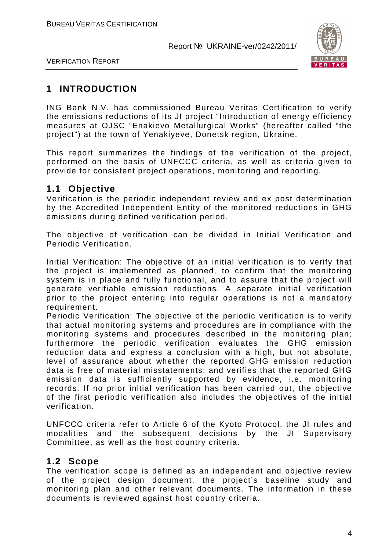

VERIFICATION REPORT

## **1 INTRODUCTION**

ING Bank N.V. has commissioned Bureau Veritas Certification to verify the emissions reductions of its JI project "Introduction of energy efficiency measures at OJSC "Enakievo Metallurgical Works" (hereafter called "the project") at the town of Yenakiyeve, Donetsk region, Ukraine.

This report summarizes the findings of the verification of the project, performed on the basis of UNFCCC criteria, as well as criteria given to provide for consistent project operations, monitoring and reporting.

## **1.1 Objective**

Verification is the periodic independent review and ex post determination by the Accredited Independent Entity of the monitored reductions in GHG emissions during defined verification period.

The objective of verification can be divided in Initial Verification and Periodic Verification.

Initial Verification: The objective of an initial verification is to verify that the project is implemented as planned, to confirm that the monitoring system is in place and fully functional, and to assure that the project will generate verifiable emission reductions. A separate initial verification prior to the project entering into regular operations is not a mandatory requirement.

Periodic Verification: The objective of the periodic verification is to verify that actual monitoring systems and procedures are in compliance with the monitoring systems and procedures described in the monitoring plan; furthermore the periodic verification evaluates the GHG emission reduction data and express a conclusion with a high, but not absolute, level of assurance about whether the reported GHG emission reduction data is free of material misstatements; and verifies that the reported GHG emission data is sufficiently supported by evidence, i.e. monitoring records. If no prior initial verification has been carried out, the objective of the first periodic verification also includes the objectives of the initial verification.

UNFCCC criteria refer to Article 6 of the Kyoto Protocol, the JI rules and modalities and the subsequent decisions by the JI Supervisory Committee, as well as the host country criteria.

## **1.2 Scope**

The verification scope is defined as an independent and objective review of the project design document, the project's baseline study and monitoring plan and other relevant documents. The information in these documents is reviewed against host country criteria.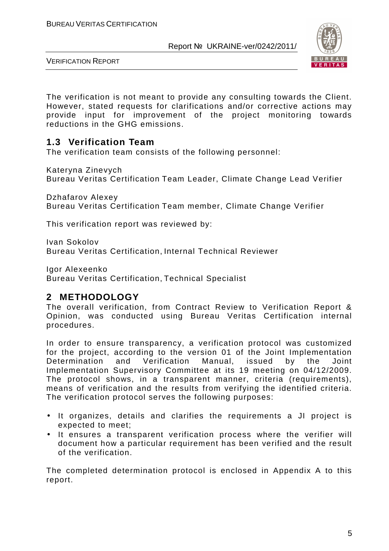

VERIFICATION REPORT

The verification is not meant to provide any consulting towards the Client. However, stated requests for clarifications and/or corrective actions may provide input for improvement of the project monitoring towards reductions in the GHG emissions.

## **1.3 Verification Team**

The verification team consists of the following personnel:

Kateryna Zinevych Bureau Veritas Certification Team Leader, Climate Change Lead Verifier

Dzhafarov Alexey Bureau Veritas Certification Team member, Climate Change Verifier

This verification report was reviewed by:

Ivan Sokolov Bureau Veritas Certification, Internal Technical Reviewer

Igor Alexeenko

Bureau Veritas Certification, Technical Specialist

## **2 METHODOLOGY**

The overall verification, from Contract Review to Verification Report & Opinion, was conducted using Bureau Veritas Certification internal procedures.

In order to ensure transparency, a verification protocol was customized for the project, according to the version 01 of the Joint Implementation Determination and Verification Manual, issued by the Joint Implementation Supervisory Committee at its 19 meeting on 04/12/2009. The protocol shows, in a transparent manner, criteria (requirements), means of verification and the results from verifying the identified criteria. The verification protocol serves the following purposes:

- It organizes, details and clarifies the requirements a JI project is expected to meet;
- It ensures a transparent verification process where the verifier will document how a particular requirement has been verified and the result of the verification.

The completed determination protocol is enclosed in Appendix A to this report.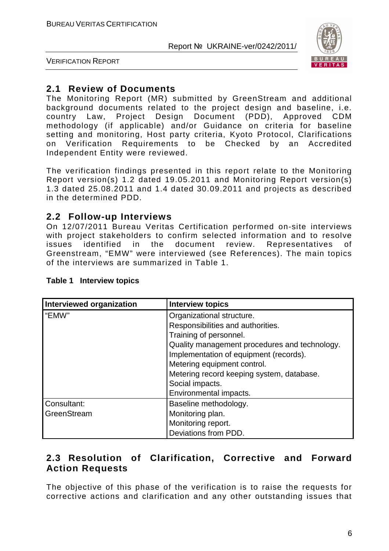

VERIFICATION REPORT

## **2.1 Review of Documents**

The Monitoring Report (MR) submitted by GreenStream and additional background documents related to the project design and baseline, i.e. country Law, Project Design Document (PDD), Approved CDM methodology (if applicable) and/or Guidance on criteria for baseline setting and monitoring, Host party criteria, Kyoto Protocol, Clarifications on Verification Requirements to be Checked by an Accredited Independent Entity were reviewed.

The verification findings presented in this report relate to the Monitoring Report version(s) 1.2 dated 19.05.2011 and Monitoring Report version(s) 1.3 dated 25.08.2011 and 1.4 dated 30.09.2011 and projects as described in the determined PDD.

#### **2.2 Follow-up Interviews**

On 12/07/2011 Bureau Veritas Certification performed on-site interviews with project stakeholders to confirm selected information and to resolve issues identified in the document review. Representatives of Greenstream, "EMW" were interviewed (see References). The main topics of the interviews are summarized in Table 1.

| Interviewed organization | Interview topics                              |
|--------------------------|-----------------------------------------------|
| "EMW"                    | Organizational structure.                     |
|                          | Responsibilities and authorities.             |
|                          | Training of personnel.                        |
|                          | Quality management procedures and technology. |
|                          | Implementation of equipment (records).        |
|                          | Metering equipment control.                   |
|                          | Metering record keeping system, database.     |
|                          | Social impacts.                               |
|                          | Environmental impacts.                        |
| Consultant:              | Baseline methodology.                         |
| GreenStream              | Monitoring plan.                              |
|                          | Monitoring report.                            |
|                          | Deviations from PDD.                          |

#### **Table 1 Interview topics**

## **2.3 Resolution of Clarification, Corrective and Forward Action Requests**

The objective of this phase of the verification is to raise the requests for corrective actions and clarification and any other outstanding issues that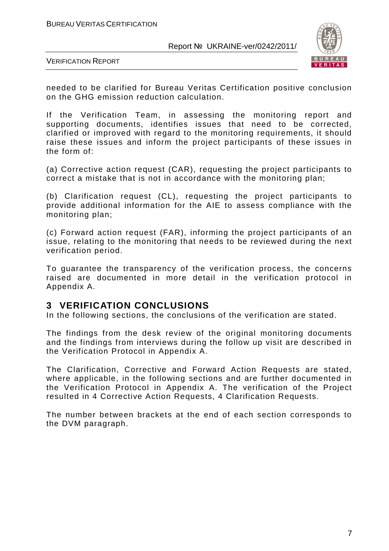

VERIFICATION REPORT

needed to be clarified for Bureau Veritas Certification positive conclusion on the GHG emission reduction calculation.

If the Verification Team, in assessing the monitoring report and supporting documents, identifies issues that need to be corrected, clarified or improved with regard to the monitoring requirements, it should raise these issues and inform the project participants of these issues in the form of:

(a) Corrective action request (CAR), requesting the project participants to correct a mistake that is not in accordance with the monitoring plan;

(b) Clarification request (CL), requesting the project participants to provide additional information for the AIE to assess compliance with the monitoring plan;

(c) Forward action request (FAR), informing the project participants of an issue, relating to the monitoring that needs to be reviewed during the next verification period.

To guarantee the transparency of the verification process, the concerns raised are documented in more detail in the verification protocol in Appendix A.

#### **3 VERIFICATION CONCLUSIONS**

In the following sections, the conclusions of the verification are stated.

The findings from the desk review of the original monitoring documents and the findings from interviews during the follow up visit are described in the Verification Protocol in Appendix A.

The Clarification, Corrective and Forward Action Requests are stated, where applicable, in the following sections and are further documented in the Verification Protocol in Appendix A. The verification of the Project resulted in 4 Corrective Action Requests, 4 Clarification Requests.

The number between brackets at the end of each section corresponds to the DVM paragraph.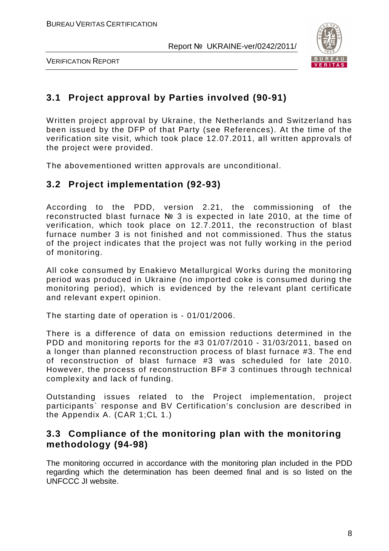

VERIFICATION REPORT

## **3.1 Project approval by Parties involved (90-91)**

Written project approval by Ukraine, the Netherlands and Switzerland has been issued by the DFP of that Party (see References). At the time of the verification site visit, which took place 12.07.2011, аll written approvals of the project were provided.

The abovementioned written approvals are unconditional.

## **3.2 Project implementation (92-93)**

According to the PDD, version 2.21, the commissioning of the reconstructed blast furnace № 3 is expected in late 2010, at the time of verification, which took place on 12.7.2011, the reconstruction of blast furnace number 3 is not finished and not commissioned. Thus the status of the project indicates that the project was not fully working in the period of monitoring.

All coke consumed by Enakievo Metallurgical Works during the monitoring period was produced in Ukraine (no imported coke is consumed during the monitoring period), which is evidenced by the relevant plant certificate and relevant expert opinion.

The starting date of operation is - 01/01/2006.

There is a difference of data on emission reductions determined in the PDD and monitoring reports for the #3 01/07/2010 - 31/03/2011, based on a longer than planned reconstruction process of blast furnace #3. The end of reconstruction of blast furnace #3 was scheduled for late 2010. However, the process of reconstruction BF# 3 continues through technical complexity and lack of funding.

Outstanding issues related to the Project implementation, project participants` response and BV Certification's conclusion are described in the Appendix A. (CAR 1;CL 1.)

#### **3.3 Compliance of the monitoring plan with the monitoring methodology (94-98)**

The monitoring occurred in accordance with the monitoring plan included in the PDD regarding which the determination has been deemed final and is so listed on the UNFCCC JI website.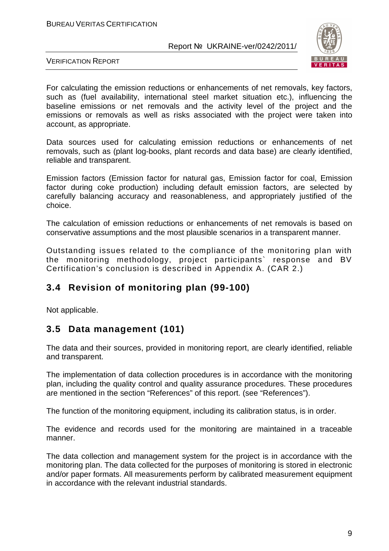

VERIFICATION REPORT

For calculating the emission reductions or enhancements of net removals, key factors, such as (fuel availability, international steel market situation etc.), influencing the baseline emissions or net removals and the activity level of the project and the emissions or removals as well as risks associated with the project were taken into account, as appropriate.

Data sources used for calculating emission reductions or enhancements of net removals, such as (plant log-books, plant records and data base) are clearly identified, reliable and transparent.

Emission factors (Emission factor for natural gas, Emission factor for coal, Emission factor during coke production) including default emission factors, are selected by carefully balancing accuracy and reasonableness, and appropriately justified of the choice.

The calculation of emission reductions or enhancements of net removals is based on conservative assumptions and the most plausible scenarios in a transparent manner.

Outstanding issues related to the compliance of the monitoring plan with the monitoring methodology, project participants` response and BV Certification's conclusion is described in Appendix A. (CAR 2.)

## **3.4 Revision of monitoring plan (99-100)**

Not applicable.

## **3.5 Data management (101)**

The data and their sources, provided in monitoring report, are clearly identified, reliable and transparent.

The implementation of data collection procedures is in accordance with the monitoring plan, including the quality control and quality assurance procedures. These procedures are mentioned in the section "References" of this report. (see "References").

The function of the monitoring equipment, including its calibration status, is in order.

The evidence and records used for the monitoring are maintained in a traceable manner.

The data collection and management system for the project is in accordance with the monitoring plan. The data collected for the purposes of monitoring is stored in electronic and/or paper formats. All measurements perform by calibrated measurement equipment in accordance with the relevant industrial standards.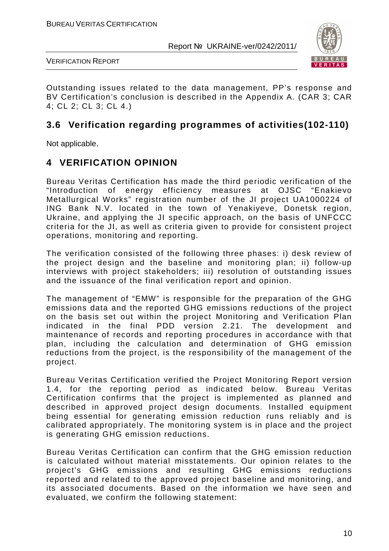

VERIFICATION REPORT

Outstanding issues related to the data management, PP's response and BV Certification's conclusion is described in the Appendix A. (CAR 3; CAR 4; CL 2; CL 3; CL 4.)

## **3.6 Verification regarding programmes of activities(102-110)**

Not applicable.

#### **4 VERIFICATION OPINION**

Bureau Veritas Certification has made the third periodic verification of the "Introduction of energy efficiency measures at OJSC "Enakievo Metallurgical Works" registration number of the JI project UA1000224 of ING Bank N.V. located in the town of Yenakiyeve, Donetsk region, Ukraine, and applying the JI specific approach, on the basis of UNFCCC criteria for the JI, as well as criteria given to provide for consistent project operations, monitoring and reporting.

The verification consisted of the following three phases: i) desk review of the project design and the baseline and monitoring plan; ii) follow-up interviews with project stakeholders; iii) resolution of outstanding issues and the issuance of the final verification report and opinion.

The management of "EMW" is responsible for the preparation of the GHG emissions data and the reported GHG emissions reductions of the project on the basis set out within the project Monitoring and Verification Plan indicated in the final PDD version 2.21. The development and maintenance of records and reporting procedures in accordance with that plan, including the calculation and determination of GHG emission reductions from the project, is the responsibility of the management of the project.

Bureau Veritas Certification verified the Project Monitoring Report version 1.4, for the reporting period as indicated below. Bureau Veritas Certification confirms that the project is implemented as planned and described in approved project design documents. Installed equipment being essential for generating emission reduction runs reliably and is calibrated appropriately. The monitoring system is in place and the project is generating GHG emission reductions.

Bureau Veritas Certification can confirm that the GHG emission reduction is calculated without material misstatements. Our opinion relates to the project's GHG emissions and resulting GHG emissions reductions reported and related to the approved project baseline and monitoring, and its associated documents. Based on the information we have seen and evaluated, we confirm the following statement: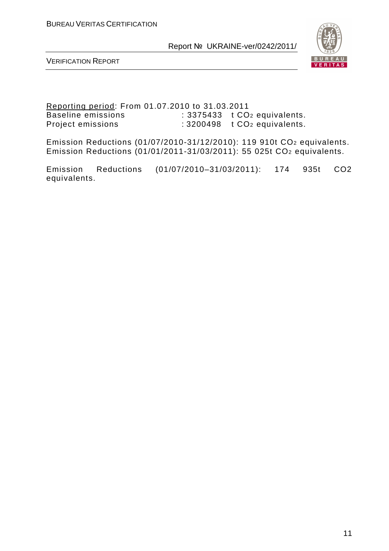

VERIFICATION REPORT

Reporting period: From 01.07.2010 to 31.03.2011 Baseline emissions : 3375433 t CO<sub>2</sub> equivalents. Project emissions : 3200498 t CO<sub>2</sub> equivalents.

Emission Reductions (01/07/2010-31/12/2010): 119 910t CO2 equivalents. Emission Reductions (01/01/2011-31/03/2011): 55 025t CO2 equivalents.

Emission Reductions (01/07/2010–31/03/2011): 174 935t CO2 equivalents.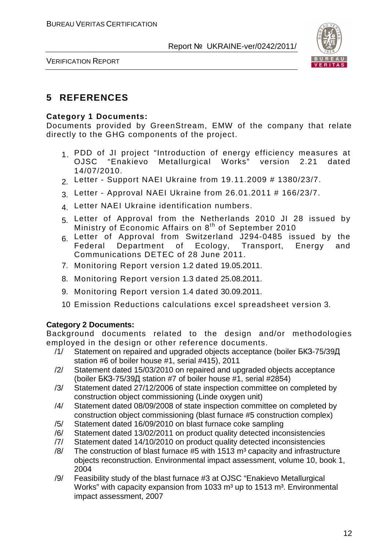

VERIFICATION REPORT

## **5 REFERENCES**

#### **Category 1 Documents:**

Documents provided by GreenStream, EMW of the company that relate directly to the GHG components of the project.

- 1. PDD of JI project "Introduction of energy efficiency measures at<br>OJSC "Enakievo Metallurgical Works" version 2.21 dated OJSC "Enakievo Metallurgical Works" 14/07/2010.
- 2. Letter Support NAEI Ukraine from 19.11.2009 # 1380/23/7.
- 3. Letter Approval NAEI Ukraine from 26.01.2011 # 166/23/7.
- 4. Letter NAEI Ukraine identification numbers.
- 5. Letter of Approval from the Netherlands 2010 JI 28 issued by Ministry of Economic Affairs on 8<sup>th</sup> of September 2010
- 6. Letter of Approval from Switzerland J294-0485 issued by the<br>Federal Department of Ecology. Transport. Energy and Federal Department of Communications DETEC of 28 June 2011.
- 7. Monitoring Report version 1.2 dated 19.05.2011.
- 8. Monitoring Report version 1.3 dated 25.08.2011.
- 9. Monitoring Report version 1.4 dated 30.09.2011.
- 10. Emission Reductions calculations excel spreadsheet version 3.

#### **Category 2 Documents:**

Background documents related to the design and/or methodologies employed in the design or other reference documents.

- /1/ Statement on repaired and upgraded objects acceptance (boiler БКЗ-75/39Д station #6 of boiler house #1, serial #415), 2011
- /2/ Statement dated 15/03/2010 on repaired and upgraded objects acceptance (boiler БКЗ-75/39Д station #7 of boiler house #1, serial #2854)
- /3/ Statement dated 27/12/2006 of state inspection committee on completed by construction object commissioning (Linde oxygen unit)
- /4/ Statement dated 08/09/2008 of state inspection committee on completed by construction object commissioning (blast furnace #5 construction complex)
- /5/ Statement dated 16/09/2010 on blast furnace coke sampling
- /6/ Statement dated 13/02/2011 on product quality detected inconsistencies
- /7/ Statement dated 14/10/2010 on product quality detected inconsistencies
- $/8/$  The construction of blast furnace #5 with 1513 m<sup>3</sup> capacity and infrastructure objects reconstruction. Environmental impact assessment, volume 10, book 1, 2004
- /9/ Feasibility study of the blast furnace #3 at OJSC "Enakievo Metallurgical Works" with capacity expansion from 1033  $m<sup>3</sup>$  up to 1513  $m<sup>3</sup>$ . Environmental impact assessment, 2007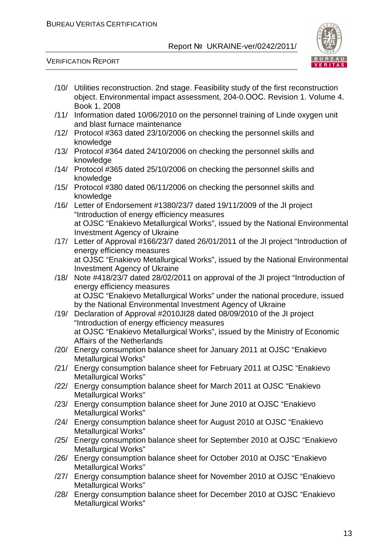

- /10/ Utilities reconstruction. 2nd stage. Feasibility study of the first reconstruction object. Environmental impact assessment, 204-0.ООС. Revision 1. Volume 4. Book 1, 2008
- /11/ Information dated 10/06/2010 on the personnel training of Linde oxygen unit and blast furnace maintenance
- /12/ Protocol #363 dated 23/10/2006 on checking the personnel skills and knowledge
- /13/ Protocol #364 dated 24/10/2006 on checking the personnel skills and knowledge
- /14/ Protocol #365 dated 25/10/2006 on checking the personnel skills and knowledge
- /15/ Protocol #380 dated 06/11/2006 on checking the personnel skills and knowledge
- /16/ Letter of Endorsement #1380/23/7 dated 19/11/2009 of the JI project "Introduction of energy efficiency measures at OJSC "Enakievo Metallurgical Works", issued by the National Environmental Investment Agency of Ukraine
- /17/ Letter of Approval #166/23/7 dated 26/01/2011 of the JI project "Introduction of energy efficiency measures at OJSC "Enakievo Metallurgical Works", issued by the National Environmental Investment Agency of Ukraine
- /18/ Note #418/23/7 dated 28/02/2011 on approval of the JI project "Introduction of energy efficiency measures at OJSC "Enakievo Metallurgical Works" under the national procedure, issued by the National Environmental Investment Agency of Ukraine
- /19/ Declaration of Approval #2010JI28 dated 08/09/2010 of the JI project "Introduction of energy efficiency measures at OJSC "Enakievo Metallurgical Works", issued by the Ministry of Economic Affairs of the Netherlands
- /20/ Energy consumption balance sheet for January 2011 at OJSC "Enakievo Metallurgical Works"
- /21/ Energy consumption balance sheet for February 2011 at OJSC "Enakievo Metallurgical Works"
- /22/ Energy consumption balance sheet for March 2011 at OJSC "Enakievo Metallurgical Works"
- /23/ Energy consumption balance sheet for June 2010 at OJSC "Enakievo Metallurgical Works"
- /24/ Energy consumption balance sheet for August 2010 at OJSC "Enakievo Metallurgical Works"
- /25/ Energy consumption balance sheet for September 2010 at OJSC "Enakievo Metallurgical Works"
- /26/ Energy consumption balance sheet for October 2010 at OJSC "Enakievo Metallurgical Works"
- /27/ Energy consumption balance sheet for November 2010 at OJSC "Enakievo Metallurgical Works"
- /28/ Energy consumption balance sheet for December 2010 at OJSC "Enakievo Metallurgical Works"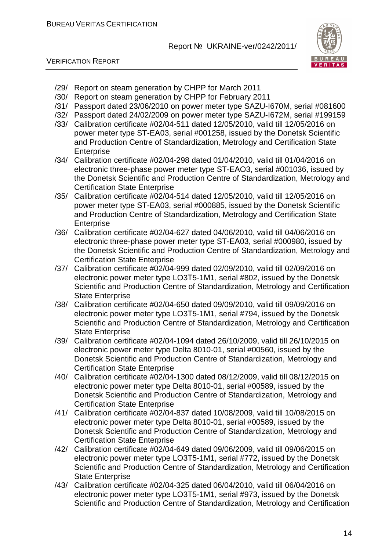



- /29/ Report on steam generation by CHPP for March 2011
- /30/ Report on steam generation by CHPP for February 2011
- /31/ Passport dated 23/06/2010 on power meter type SAZU-I670M, serial #081600
- /32/ Passport dated 24/02/2009 on power meter type SAZU-I672M, serial #199159
- /33/ Calibration certificate #02/04-511 dated 12/05/2010, valid till 12/05/2016 on power meter type ST-EА03, serial #001258, issued by the Donetsk Scientific and Production Centre of Standardization, Metrology and Certification State **Enterprise**
- /34/ Calibration certificate #02/04-298 dated 01/04/2010, valid till 01/04/2016 on electronic three-phase power meter type ST-EАO3, serial #001036, issued by the Donetsk Scientific and Production Centre of Standardization, Metrology and Certification State Enterprise
- /35/ Calibration certificate #02/04-514 dated 12/05/2010, valid till 12/05/2016 on power meter type ST-EА03, serial #000885, issued by the Donetsk Scientific and Production Centre of Standardization, Metrology and Certification State **Enterprise**
- /36/ Calibration certificate #02/04-627 dated 04/06/2010, valid till 04/06/2016 on electronic three-phase power meter type ST-EА03, serial #000980, issued by the Donetsk Scientific and Production Centre of Standardization, Metrology and Certification State Enterprise
- /37/ Calibration certificate #02/04-999 dated 02/09/2010, valid till 02/09/2016 on electronic power meter type LO3Т5-1М1, serial #802, issued by the Donetsk Scientific and Production Centre of Standardization, Metrology and Certification State Enterprise
- /38/ Calibration certificate #02/04-650 dated 09/09/2010, valid till 09/09/2016 on electronic power meter type LO3Т5-1М1, serial #794, issued by the Donetsk Scientific and Production Centre of Standardization, Metrology and Certification State Enterprise
- /39/ Calibration certificate #02/04-1094 dated 26/10/2009, valid till 26/10/2015 on electronic power meter type Delta 8010-01, serial #00560, issued by the Donetsk Scientific and Production Centre of Standardization, Metrology and Certification State Enterprise
- /40/ Calibration certificate #02/04-1300 dated 08/12/2009, valid till 08/12/2015 on electronic power meter type Delta 8010-01, serial #00589, issued by the Donetsk Scientific and Production Centre of Standardization, Metrology and Certification State Enterprise
- /41/ Calibration certificate #02/04-837 dated 10/08/2009, valid till 10/08/2015 on electronic power meter type Delta 8010-01, serial #00589, issued by the Donetsk Scientific and Production Centre of Standardization, Metrology and Certification State Enterprise
- /42/ Calibration certificate #02/04-649 dated 09/06/2009, valid till 09/06/2015 on electronic power meter type LO3T5-1M1, serial #772, issued by the Donetsk Scientific and Production Centre of Standardization, Metrology and Certification State Enterprise
- /43/ Calibration certificate #02/04-325 dated 06/04/2010, valid till 06/04/2016 on electronic power meter type LO3T5-1M1, serial #973, issued by the Donetsk Scientific and Production Centre of Standardization, Metrology and Certification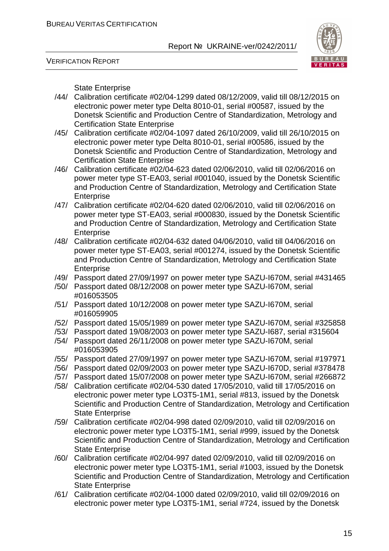

VERIFICATION REPORT

State Enterprise

- /44/ Calibration certificate #02/04-1299 dated 08/12/2009, valid till 08/12/2015 on electronic power meter type Delta 8010-01, serial #00587, issued by the Donetsk Scientific and Production Centre of Standardization, Metrology and Certification State Enterprise
- /45/ Calibration certificate #02/04-1097 dated 26/10/2009, valid till 26/10/2015 on electronic power meter type Delta 8010-01, serial #00586, issued by the Donetsk Scientific and Production Centre of Standardization, Metrology and Certification State Enterprise
- /46/ Calibration certificate #02/04-623 dated 02/06/2010, valid till 02/06/2016 on power meter type ST-EA03, serial #001040, issued by the Donetsk Scientific and Production Centre of Standardization, Metrology and Certification State Enterprise
- /47/ Calibration certificate #02/04-620 dated 02/06/2010, valid till 02/06/2016 on power meter type ST-EA03, serial #000830, issued by the Donetsk Scientific and Production Centre of Standardization, Metrology and Certification State **Enterprise**
- /48/ Calibration certificate #02/04-632 dated 04/06/2010, valid till 04/06/2016 on power meter type ST-EA03, serial #001274, issued by the Donetsk Scientific and Production Centre of Standardization, Metrology and Certification State **Enterprise**
- /49/ Passport dated 27/09/1997 on power meter type SAZU-I670M, serial #431465
- /50/ Passport dated 08/12/2008 on power meter type SAZU-I670M, serial #016053505
- /51/ Passport dated 10/12/2008 on power meter type SAZU-I670M, serial #016059905
- /52/ Passport dated 15/05/1989 on power meter type SAZU-I670M, serial #325858
- /53/ Passport dated 19/08/2003 on power meter type SAZU-I687, serial #315604
- /54/ Passport dated 26/11/2008 on power meter type SAZU-I670М, serial #016053905
- /55/ Passport dated 27/09/1997 on power meter type SAZU-I670М, serial #197971
- /56/ Passport dated 02/09/2003 on power meter type SAZU-I670D, serial #378478
- /57/ Passport dated 15/07/2008 on power meter type SAZU-I670M, serial #266872
- /58/ Calibration certificate #02/04-530 dated 17/05/2010, valid till 17/05/2016 on electronic power meter type LO3T5-1M1, serial #813, issued by the Donetsk Scientific and Production Centre of Standardization, Metrology and Certification State Enterprise
- /59/ Calibration certificate #02/04-998 dated 02/09/2010, valid till 02/09/2016 on electronic power meter type LO3T5-1M1, serial #999, issued by the Donetsk Scientific and Production Centre of Standardization, Metrology and Certification State Enterprise
- /60/ Calibration certificate #02/04-997 dated 02/09/2010, valid till 02/09/2016 on electronic power meter type LO3T5-1M1, serial #1003, issued by the Donetsk Scientific and Production Centre of Standardization, Metrology and Certification State Enterprise
- /61/ Calibration certificate #02/04-1000 dated 02/09/2010, valid till 02/09/2016 on electronic power meter type LO3T5-1M1, serial #724, issued by the Donetsk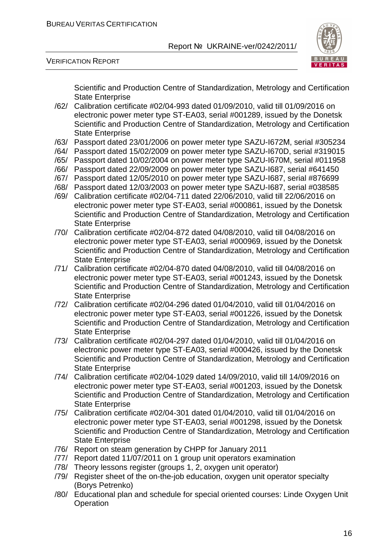

VERIFICATION REPORT

Scientific and Production Centre of Standardization, Metrology and Certification State Enterprise

- /62/ Calibration certificate #02/04-993 dated 01/09/2010, valid till 01/09/2016 on electronic power meter type ST-EA03, serial #001289, issued by the Donetsk Scientific and Production Centre of Standardization, Metrology and Certification State Enterprise
- /63/ Passport dated 23/01/2006 on power meter type SAZU-I672М, serial #305234
- /64/ Passport dated 15/02/2009 on power meter type SAZU-I670D, serial #319015
- /65/ Passport dated 10/02/2004 on power meter type SAZU-I670M, serial #011958
- /66/ Passport dated 22/09/2009 on power meter type SAZU-I687, serial #641450
- /67/ Passport dated 12/05/2010 on power meter type SAZU-I687, serial #876699
- /68/ Passport dated 12/03/2003 on power meter type SAZU-I687, serial #038585
- /69/ Calibration certificate #02/04-711 dated 22/06/2010, valid till 22/06/2016 on electronic power meter type ST-EA03, serial #000861, issued by the Donetsk Scientific and Production Centre of Standardization, Metrology and Certification State Enterprise
- /70/ Calibration certificate #02/04-872 dated 04/08/2010, valid till 04/08/2016 on electronic power meter type ST-EA03, serial #000969, issued by the Donetsk Scientific and Production Centre of Standardization, Metrology and Certification State Enterprise
- /71/ Calibration certificate #02/04-870 dated 04/08/2010, valid till 04/08/2016 on electronic power meter type ST-EA03, serial #001243, issued by the Donetsk Scientific and Production Centre of Standardization, Metrology and Certification State Enterprise
- /72/ Calibration certificate #02/04-296 dated 01/04/2010, valid till 01/04/2016 on electronic power meter type ST-EA03, serial #001226, issued by the Donetsk Scientific and Production Centre of Standardization, Metrology and Certification State Enterprise
- /73/ Calibration certificate #02/04-297 dated 01/04/2010, valid till 01/04/2016 on electronic power meter type ST-EA03, serial #000426, issued by the Donetsk Scientific and Production Centre of Standardization, Metrology and Certification State Enterprise
- /74/ Calibration certificate #02/04-1029 dated 14/09/2010, valid till 14/09/2016 on electronic power meter type ST-EA03, serial #001203, issued by the Donetsk Scientific and Production Centre of Standardization, Metrology and Certification State Enterprise
- /75/ Calibration certificate #02/04-301 dated 01/04/2010, valid till 01/04/2016 on electronic power meter type ST-EA03, serial #001298, issued by the Donetsk Scientific and Production Centre of Standardization, Metrology and Certification State Enterprise
- /76/ Report on steam generation by CHPP for January 2011
- /77/ Report dated 11/07/2011 on 1 group unit operators examination
- /78/ Theory lessons register (groups 1, 2, oxygen unit operator)
- /79/ Register sheet of the on-the-job education, oxygen unit operator specialty (Borys Petrenko)
- /80/ Educational plan and schedule for special oriented courses: Linde Oxygen Unit **Operation**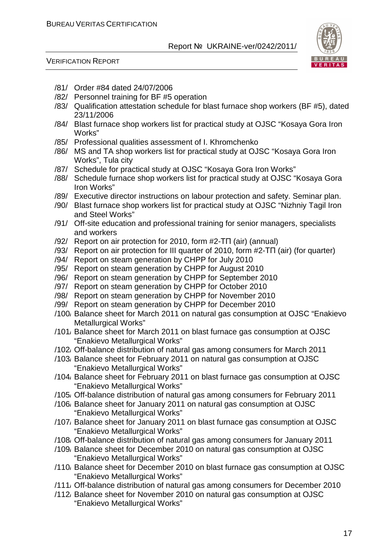

- /81/ Order #84 dated 24/07/2006
- /82/ Personnel training for BF #5 operation
- /83/ Qualification attestation schedule for blast furnace shop workers (BF #5), dated 23/11/2006
- /84/ Blast furnace shop workers list for practical study at OJSC "Kosaya Gora Iron Works"
- /85/ Professional qualities assessment of I. Khromchenko
- /86/ MS and TA shop workers list for practical study at OJSC "Kosaya Gora Iron Works", Tula city
- /87/ Schedule for practical study at OJSC "Kosaya Gora Iron Works"
- /88/ Schedule furnace shop workers list for practical study at OJSC "Kosaya Gora Iron Works"
- /89/ Executive director instructions on labour protection and safety. Seminar plan.
- /90/ Blast furnace shop workers list for practical study at OJSC "Nizhniy Tagil Iron and Steel Works"
- /91/ Off-site education and professional training for senior managers, specialists and workers
- /92/ Report on air protection for 2010, form #2-ТП (air) (annual)
- /93/ Report on air protection for III quarter of 2010, form #2-ТП (air) (for quarter)
- /94/ Report on steam generation by CHPP for July 2010
- /95/ Report on steam generation by CHPP for August 2010
- /96/ Report on steam generation by CHPP for September 2010
- /97/ Report on steam generation by CHPP for October 2010
- /98/ Report on steam generation by CHPP for November 2010
- /99/ Report on steam generation by CHPP for December 2010
- /100/ Balance sheet for March 2011 on natural gas consumption at OJSC "Enakievo Metallurgical Works"
- /101/ Balance sheet for March 2011 on blast furnace gas consumption at OJSC "Enakievo Metallurgical Works"
- /102/ Off-balance distribution of natural gas among consumers for March 2011
- /103/ Balance sheet for February 2011 on natural gas consumption at OJSC "Enakievo Metallurgical Works"
- /104/ Balance sheet for February 2011 on blast furnace gas consumption at OJSC "Enakievo Metallurgical Works"
- /105/ Off-balance distribution of natural gas among consumers for February 2011
- /106/ Balance sheet for January 2011 on natural gas consumption at OJSC "Enakievo Metallurgical Works"
- /107/ Balance sheet for January 2011 on blast furnace gas consumption at OJSC "Enakievo Metallurgical Works"
- /108/ Off-balance distribution of natural gas among consumers for January 2011
- /109/ Balance sheet for December 2010 on natural gas consumption at OJSC "Enakievo Metallurgical Works"
- /110/ Balance sheet for December 2010 on blast furnace gas consumption at OJSC "Enakievo Metallurgical Works"
- /111/ Off-balance distribution of natural gas among consumers for December 2010
- /112/ Balance sheet for November 2010 on natural gas consumption at OJSC "Enakievo Metallurgical Works"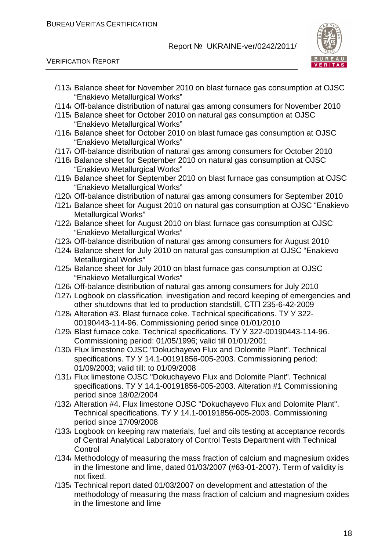

- /113/ Balance sheet for November 2010 on blast furnace gas consumption at OJSC "Enakievo Metallurgical Works"
- /114/ Off-balance distribution of natural gas among consumers for November 2010
- /115/ Balance sheet for October 2010 on natural gas consumption at OJSC "Enakievo Metallurgical Works"
- /116/ Balance sheet for October 2010 on blast furnace gas consumption at OJSC "Enakievo Metallurgical Works"
- /117/ Off-balance distribution of natural gas among consumers for October 2010
- /118/ Balance sheet for September 2010 on natural gas consumption at OJSC "Enakievo Metallurgical Works"
- /119/ Balance sheet for September 2010 on blast furnace gas consumption at OJSC "Enakievo Metallurgical Works"
- /120/ Off-balance distribution of natural gas among consumers for September 2010
- /121/ Balance sheet for August 2010 on natural gas consumption at OJSC "Enakievo Metallurgical Works"
- /122/ Balance sheet for August 2010 on blast furnace gas consumption at OJSC "Enakievo Metallurgical Works"
- /123/ Off-balance distribution of natural gas among consumers for August 2010
- /124/ Balance sheet for July 2010 on natural gas consumption at OJSC "Enakievo Metallurgical Works"
- /125/ Balance sheet for July 2010 on blast furnace gas consumption at OJSC "Enakievo Metallurgical Works"
- /126/ Off-balance distribution of natural gas among consumers for July 2010
- /127/ Logbook on classification, investigation and record keeping of emergencies and other shutdowns that led to production standstill, СТП 235-6-42-2009
- /128/ Alteration #3. Blast furnace coke. Technical specifications. ТУ У 322- 00190443-114-96. Commissioning period since 01/01/2010
- /129/ Blast furnace coke. Technical specifications. ТУ У 322-00190443-114-96. Commissioning period: 01/05/1996; valid till 01/01/2001
- /130/ Flux limestone OJSC "Dokuchayevo Flux and Dolomite Plant". Technical specifications. TY Y 14.1-00191856-005-2003. Commissioning period: 01/09/2003; valid till: to 01/09/2008
- /131/ Flux limestone OJSC "Dokuchayevo Flux and Dolomite Plant". Technical specifications. TУ У 14.1-00191856-005-2003. Alteration #1 Commissioning period since 18/02/2004
- /132/ Alteration #4. Flux limestone OJSC "Dokuchayevo Flux and Dolomite Plant". Technical specifications. TУ У 14.1-00191856-005-2003. Commissioning period since 17/09/2008
- /133/ Logbook on keeping raw materials, fuel and oils testing at acceptance records of Central Analytical Laboratory of Control Tests Department with Technical **Control**
- /134/ Methodology of measuring the mass fraction of calcium and magnesium oxides in the limestone and lime, dated 01/03/2007 (#63-01-2007). Term of validity is not fixed.
- /135/ Technical report dated 01/03/2007 on development and attestation of the methodology of measuring the mass fraction of calcium and magnesium oxides in the limestone and lime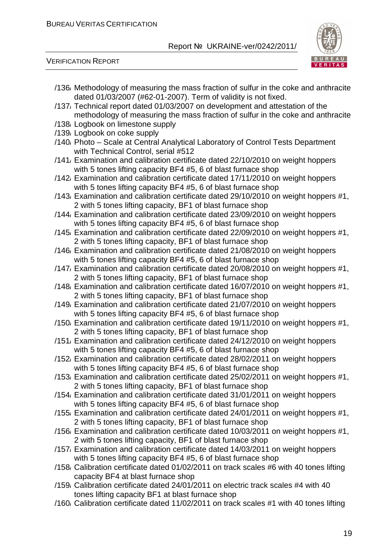

- /136/ Methodology of measuring the mass fraction of sulfur in the coke and anthracite dated 01/03/2007 (#62-01-2007). Term of validity is not fixed.
- /137/ Technical report dated 01/03/2007 on development and attestation of the methodology of measuring the mass fraction of sulfur in the coke and anthracite
- /138/ Logbook on limestone supply
- /139/ Logbook on coke supply
- /140/ Photo Scale at Central Analytical Laboratory of Control Tests Department with Technical Control, serial #512
- /141/ Examination and calibration certificate dated 22/10/2010 on weight hoppers with 5 tones lifting capacity BF4 #5, 6 of blast furnace shop
- /142/ Examination and calibration certificate dated 17/11/2010 on weight hoppers with 5 tones lifting capacity BF4 #5, 6 of blast furnace shop
- /143/ Examination and calibration certificate dated 29/10/2010 on weight hoppers #1, 2 with 5 tones lifting capacity, BF1 of blast furnace shop
- /144/ Examination and calibration certificate dated 23/09/2010 on weight hoppers with 5 tones lifting capacity BF4 #5, 6 of blast furnace shop
- /145/ Examination and calibration certificate dated 22/09/2010 on weight hoppers #1, 2 with 5 tones lifting capacity, BF1 of blast furnace shop
- /146/ Examination and calibration certificate dated 21/08/2010 on weight hoppers with 5 tones lifting capacity BF4 #5, 6 of blast furnace shop
- /147/ Examination and calibration certificate dated 20/08/2010 on weight hoppers #1, 2 with 5 tones lifting capacity, BF1 of blast furnace shop
- /148/ Examination and calibration certificate dated 16/07/2010 on weight hoppers #1, 2 with 5 tones lifting capacity, BF1 of blast furnace shop
- /149/ Examination and calibration certificate dated 21/07/2010 on weight hoppers with 5 tones lifting capacity BF4 #5, 6 of blast furnace shop
- /150/ Examination and calibration certificate dated 19/11/2010 on weight hoppers #1, 2 with 5 tones lifting capacity, BF1 of blast furnace shop
- /151/ Examination and calibration certificate dated 24/12/2010 on weight hoppers with 5 tones lifting capacity BF4 #5, 6 of blast furnace shop
- /152/ Examination and calibration certificate dated 28/02/2011 on weight hoppers with 5 tones lifting capacity BF4 #5, 6 of blast furnace shop
- /153/ Examination and calibration certificate dated 25/02/2011 on weight hoppers #1, 2 with 5 tones lifting capacity, BF1 of blast furnace shop
- /154/ Examination and calibration certificate dated 31/01/2011 on weight hoppers with 5 tones lifting capacity BF4 #5, 6 of blast furnace shop
- /155/ Examination and calibration certificate dated 24/01/2011 on weight hoppers #1, 2 with 5 tones lifting capacity, BF1 of blast furnace shop
- /156/ Examination and calibration certificate dated 10/03/2011 on weight hoppers #1, 2 with 5 tones lifting capacity, BF1 of blast furnace shop
- /157/ Examination and calibration certificate dated 14/03/2011 on weight hoppers with 5 tones lifting capacity BF4 #5, 6 of blast furnace shop
- /158/ Calibration certificate dated 01/02/2011 on track scales #6 with 40 tones lifting capacity BF4 at blast furnace shop
- /159/ Calibration certificate dated 24/01/2011 on electric track scales #4 with 40 tones lifting capacity BF1 at blast furnace shop
- /160/ Calibration certificate dated 11/02/2011 on track scales #1 with 40 tones lifting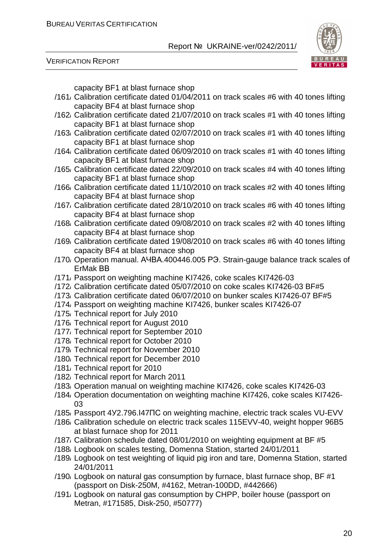

VERIFICATION REPORT

capacity BF1 at blast furnace shop

- /161/ Calibration certificate dated 01/04/2011 on track scales #6 with 40 tones lifting capacity BF4 at blast furnace shop
- /162/ Calibration certificate dated 21/07/2010 on track scales #1 with 40 tones lifting capacity BF1 at blast furnace shop
- /163/ Calibration certificate dated 02/07/2010 on track scales #1 with 40 tones lifting capacity BF1 at blast furnace shop
- /164/ Calibration certificate dated 06/09/2010 on track scales #1 with 40 tones lifting capacity BF1 at blast furnace shop
- /165/ Calibration certificate dated 22/09/2010 on track scales #4 with 40 tones lifting capacity BF1 at blast furnace shop
- /166/ Calibration certificate dated 11/10/2010 on track scales #2 with 40 tones lifting capacity BF4 at blast furnace shop
- /167/ Calibration certificate dated 28/10/2010 on track scales #6 with 40 tones lifting capacity BF4 at blast furnace shop
- /168/ Calibration certificate dated 09/08/2010 on track scales #2 with 40 tones lifting capacity BF4 at blast furnace shop
- /169/ Calibration certificate dated 19/08/2010 on track scales #6 with 40 tones lifting capacity BF4 at blast furnace shop
- /170/ Operation manual. АЧВА.400446.005 РЭ. Strain-gauge balance track scales of ErMak ВВ
- /171/ Passport on weighting machine KI7426, coke scales KI7426-03
- /172/ Calibration certificate dated 05/07/2010 on coke scales KI7426-03 BF#5
- /173/ Calibration certificate dated 06/07/2010 on bunker scales KI7426-07 BF#5
- /174/ Passport on weighting machine KI7426, bunker scales KI7426-07
- /175/ Technical report for July 2010
- /176/ Technical report for August 2010
- /177/ Technical report for September 2010
- /178/ Technical report for October 2010
- /179/ Technical report for November 2010
- /180/ Technical report for December 2010
- /181/ Technical report for 2010
- /182/ Technical report for March 2011
- /183/ Operation manual on weighting machine KI7426, coke scales KI7426-03
- /184/ Operation documentation on weighting machine KI7426, coke scales KI7426- 03
- /185/ Passport 4У2.796.І47ПС on weighting machine, electric track scales VU-EVV
- /186/ Calibration schedule on electric track scales 115EVV-40, weight hopper 96B5 at blast furnace shop for 2011
- /187/ Calibration schedule dated 08/01/2010 on weighting equipment at BF #5
- /188/ Logbook on scales testing, Domenna Station, started 24/01/2011
- /189/ Logbook on test weighting of liquid pig iron and tare, Domenna Station, started 24/01/2011
- /190/ Logbook on natural gas consumption by furnace, blast furnace shop, BF #1 (passport on Disk-250M, #4162, Metran-100DD, #442666)
- /191/ Logbook on natural gas consumption by CHPP, boiler house (passport on Metran, #171585, Disk-250, #50777)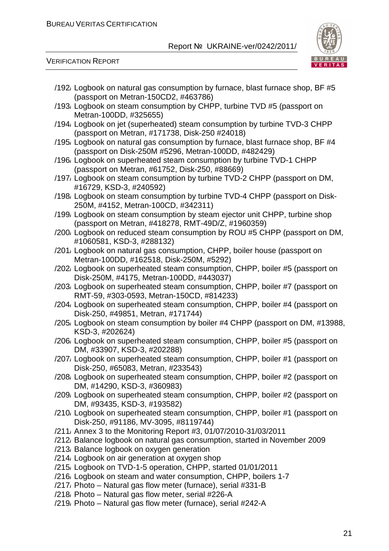

| /192/ Logbook on natural gas consumption by furnace, blast furnace shop, BF #5                                                         |
|----------------------------------------------------------------------------------------------------------------------------------------|
| (passport on Metran-150CD2, #463786)<br>/193, Logbook on steam consumption by CHPP, turbine TVD #5 (passport on                        |
| Metran-100DD, #325655)                                                                                                                 |
| /194/ Logbook on jet (superheated) steam consumption by turbine TVD-3 CHPP                                                             |
| (passport on Metran, #171738, Disk-250 #24018)                                                                                         |
| /195/ Logbook on natural gas consumption by furnace, blast furnace shop, BF #4<br>(passport on Disk-250M #5296, Metran-100DD, #482429) |
| /196/ Logbook on superheated steam consumption by turbine TVD-1 CHPP<br>(passport on Metran, #61752, Disk-250, #88669)                 |
| /197, Logbook on steam consumption by turbine TVD-2 CHPP (passport on DM,<br>#16729, KSD-3, #240592)                                   |
| /198/ Logbook on steam consumption by turbine TVD-4 CHPP (passport on Disk-<br>250M, #4152, Metran-100CD, #342311)                     |
| /199, Logbook on steam consumption by steam ejector unit CHPP, turbine shop                                                            |
| (passport on Metran, #418278, RMT-49D/Z, #1960359)<br>/200/ Logbook on reduced steam consumption by ROU #5 CHPP (passport on DM,       |
| #1060581, KSD-3, #288132)<br>/201/ Logbook on natural gas consumption, CHPP, boiler house (passport on                                 |
| Metran-100DD, #162518, Disk-250M, #5292)                                                                                               |
| /202 Logbook on superheated steam consumption, CHPP, boiler #5 (passport on<br>Disk-250M, #4175, Metran-100DD, #443037)                |
| /203/ Logbook on superheated steam consumption, CHPP, boiler #7 (passport on<br>RMT-59, #303-0593, Metran-150CD, #814233)              |
| /204/ Logbook on superheated steam consumption, CHPP, boiler #4 (passport on<br>Disk-250, #49851, Metran, #171744)                     |
| /205/ Logbook on steam consumption by boiler #4 CHPP (passport on DM, #13988,<br>KSD-3, #202624)                                       |
| /206/ Logbook on superheated steam consumption, CHPP, boiler #5 (passport on<br>DM, #33907, KSD-3, #202288)                            |
| /207/ Logbook on superheated steam consumption, CHPP, boiler #1 (passport on<br>Disk-250, #65083, Metran, #233543)                     |
| /208/ Logbook on superheated steam consumption, CHPP, boiler #2 (passport on<br>DM, #14290, KSD-3, #360983)                            |
| /209/ Logbook on superheated steam consumption, CHPP, boiler #2 (passport on<br>DM, #93435, KSD-3, #193582)                            |
| /210, Logbook on superheated steam consumption, CHPP, boiler #1 (passport on<br>Disk-250, #91186, MV-3095, #8119744)                   |
| /211, Annex 3 to the Monitoring Report #3, 01/07/2010-31/03/2011                                                                       |
| /212 Balance logbook on natural gas consumption, started in November 2009                                                              |
| /213, Balance logbook on oxygen generation                                                                                             |
| /214, Logbook on air generation at oxygen shop                                                                                         |
| /215/ Logbook on TVD-1-5 operation, CHPP, started 01/01/2011                                                                           |
| /216/ Logbook on steam and water consumption, CHPP, boilers 1-7                                                                        |
| /217, Photo – Natural gas flow meter (furnace), serial #331-B                                                                          |
| /218, Photo – Natural gas flow meter, serial #226-A                                                                                    |
| /219, Photo – Natural gas flow meter (furnace), serial #242-A                                                                          |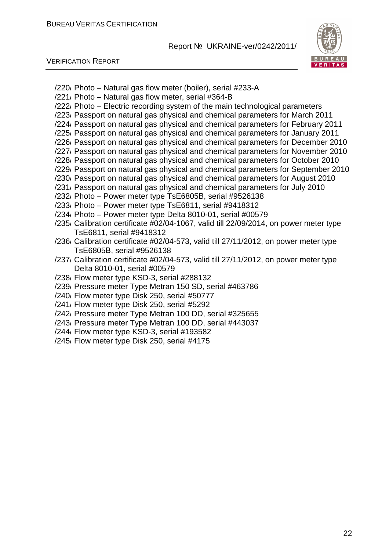

- /220/ Photo Natural gas flow meter (boiler), serial #233-A
- /221/ Photo Natural gas flow meter, serial #364-B
- /222/ Photo Electric recording system of the main technological parameters
- /223/ Passport on natural gas physical and chemical parameters for March 2011
- /224/ Passport on natural gas physical and chemical parameters for February 2011
- /225/ Passport on natural gas physical and chemical parameters for January 2011
- /226/ Passport on natural gas physical and chemical parameters for December 2010
- /227/ Passport on natural gas physical and chemical parameters for November 2010
- /228/ Passport on natural gas physical and chemical parameters for October 2010
- /229/ Passport on natural gas physical and chemical parameters for September 2010 /230/ Passport on natural gas physical and chemical parameters for August 2010
- /231/ Passport on natural gas physical and chemical parameters for July 2010
- /232/ Photo Power meter type TsE6805В, serial #9526138
- /233/ Photo Power meter type TsE6811, serial #9418312
- /234/ Photo Power meter type Delta 8010-01, serial #00579
- /235/ Calibration certificate #02/04-1067, valid till 22/09/2014, on power meter type TsE6811, serial #9418312
- /236/ Calibration certificate #02/04-573, valid till 27/11/2012, on power meter type TsE6805В, serial #9526138
- /237/ Calibration certificate #02/04-573, valid till 27/11/2012, on power meter type Delta 8010-01, serial #00579
- /238/ Flow meter type KSD-3, serial #288132
- /239/ Pressure meter Type Metran 150 SD, serial #463786
- /240/ Flow meter type Disk 250, serial #50777
- /241/ Flow meter type Disk 250, serial #5292
- /242/ Pressure meter Type Metran 100 DD, serial #325655
- /243/ Pressure meter Type Metran 100 DD, serial #443037
- /244/ Flow meter type KSD-3, serial #193582
- /245/ Flow meter type Disk 250, serial #4175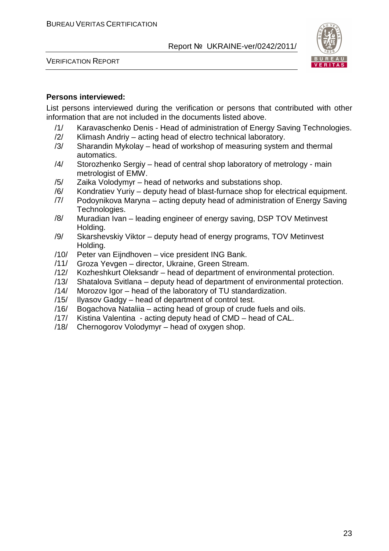

VERIFICATION REPORT

#### **Persons interviewed:**

List persons interviewed during the verification or persons that contributed with other information that are not included in the documents listed above.

- /1/ Karavaschenko Denis Head of administration of Energy Saving Technologies.
- /2/ Klimash Andriy acting head of electro technical laboratory.
- /3/ Sharandin Mykolay head of workshop of measuring system and thermal automatics.
- /4/ Storozhenko Sergiy head of central shop laboratory of metrology main metrologist of EMW.
- /5/ Zaika Volodymyr head of networks and substations shop.
- /6/ Kondratiev Yuriy deputy head of blast-furnace shop for electrical equipment.
- /7/ Podoynikova Maryna acting deputy head of administration of Energy Saving Technologies.
- /8/ Muradian Ivan leading engineer of energy saving, DSP TOV Metinvest Holding.
- /9/ Skarshevskiy Viktor deputy head of energy programs, TOV Metinvest Holding.
- /10/ Peter van Eijndhoven vice president ING Bank.
- /11/ Groza Yevgen director, Ukraine, Green Stream.
- /12/ Kozheshkurt Oleksandr head of department of environmental protection.
- /13/ Shatalova Svitlana deputy head of department of environmental protection.
- /14/ Morozov Igor head of the laboratory of TU standardization.
- /15/ Ilyasov Gadgy head of department of control test.
- /16/ Bogachova Nataliia acting head of group of crude fuels and oils.
- /17/ Kistina Valentina acting deputy head of CMD head of CAL.
- /18/ Chernogorov Volodymyr head of oxygen shop.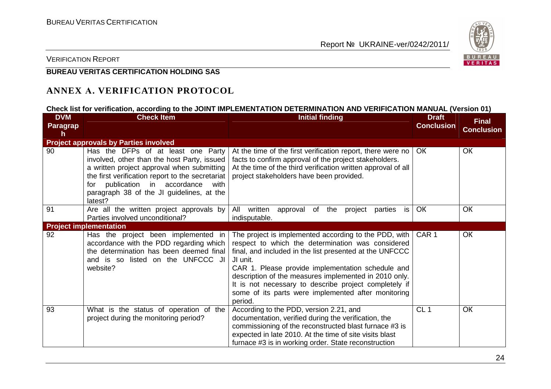

#### VERIFICATION REPORT

#### **BUREAU VERITAS CERTIFICATION HOLDING SAS**

#### **ANNEX А. VERIFICATION PROTOCOL**

#### **Check list for verification, according to the JOINT IMPLEMENTATION DETERMINATION AND VERIFICATION MANUAL (Version 01)**

| <b>DVM</b>           | <b>Check Item</b>                                                                                                                                                                                                                                                                       | <b>Initial finding</b>                                                                                                                                                                                                                                                                                                                                                                                                       | <b>Draft</b>      | <b>Final</b>      |
|----------------------|-----------------------------------------------------------------------------------------------------------------------------------------------------------------------------------------------------------------------------------------------------------------------------------------|------------------------------------------------------------------------------------------------------------------------------------------------------------------------------------------------------------------------------------------------------------------------------------------------------------------------------------------------------------------------------------------------------------------------------|-------------------|-------------------|
| <b>Paragrap</b><br>h |                                                                                                                                                                                                                                                                                         |                                                                                                                                                                                                                                                                                                                                                                                                                              | <b>Conclusion</b> | <b>Conclusion</b> |
|                      | <b>Project approvals by Parties involved</b>                                                                                                                                                                                                                                            |                                                                                                                                                                                                                                                                                                                                                                                                                              |                   |                   |
| 90                   | Has the DFPs of at least one Party<br>involved, other than the host Party, issued<br>a written project approval when submitting<br>the first verification report to the secretariat<br>publication in accordance<br>with<br>for<br>paragraph 38 of the JI guidelines, at the<br>latest? | At the time of the first verification report, there were no  <br>facts to confirm approval of the project stakeholders.<br>At the time of the third verification written approval of all<br>project stakeholders have been provided.                                                                                                                                                                                         | OK.               | <b>OK</b>         |
| 91                   | Are all the written project approvals by<br>Parties involved unconditional?                                                                                                                                                                                                             | written<br>All<br>of<br>the<br>approval<br>project<br>parties<br>is<br>indisputable.                                                                                                                                                                                                                                                                                                                                         | <b>OK</b>         | OK                |
|                      | <b>Project implementation</b>                                                                                                                                                                                                                                                           |                                                                                                                                                                                                                                                                                                                                                                                                                              |                   |                   |
| 92                   | Has the project been implemented in<br>accordance with the PDD regarding which<br>the determination has been deemed final<br>and is so listed on the UNFCCC JI<br>website?                                                                                                              | The project is implemented according to the PDD, with  <br>respect to which the determination was considered<br>final, and included in the list presented at the UNFCCC<br>JI unit.<br>CAR 1. Please provide implementation schedule and<br>description of the measures implemented in 2010 only.<br>It is not necessary to describe project completely if<br>some of its parts were implemented after monitoring<br>period. | CAR <sub>1</sub>  | OK                |
| 93                   | What is the status of operation of the<br>project during the monitoring period?                                                                                                                                                                                                         | According to the PDD, version 2.21, and<br>documentation, verified during the verification, the<br>commissioning of the reconstructed blast furnace #3 is<br>expected in late 2010. At the time of site visits blast<br>furnace #3 is in working order. State reconstruction                                                                                                                                                 | CL <sub>1</sub>   | OK                |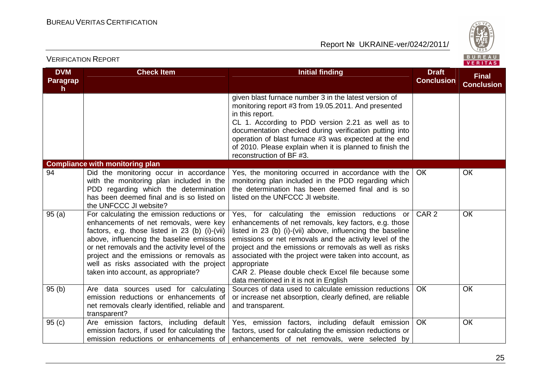

| <b>DVM</b>                      | <b>Check Item</b>                                                                                                                                                                                                                                                                                                                                                    | <b>Initial finding</b>                                                                                                                                                                                                                                                                                                                                                                                                                                                | <b>Draft</b>      | <b>Final</b>      |
|---------------------------------|----------------------------------------------------------------------------------------------------------------------------------------------------------------------------------------------------------------------------------------------------------------------------------------------------------------------------------------------------------------------|-----------------------------------------------------------------------------------------------------------------------------------------------------------------------------------------------------------------------------------------------------------------------------------------------------------------------------------------------------------------------------------------------------------------------------------------------------------------------|-------------------|-------------------|
| <b>Paragrap</b><br>$\mathsf{h}$ |                                                                                                                                                                                                                                                                                                                                                                      |                                                                                                                                                                                                                                                                                                                                                                                                                                                                       | <b>Conclusion</b> | <b>Conclusion</b> |
|                                 |                                                                                                                                                                                                                                                                                                                                                                      | given blast furnace number 3 in the latest version of<br>monitoring report #3 from 19.05.2011. And presented<br>in this report.<br>CL 1. According to PDD version 2.21 as well as to<br>documentation checked during verification putting into<br>operation of blast furnace #3 was expected at the end<br>of 2010. Please explain when it is planned to finish the<br>reconstruction of BF #3.                                                                       |                   |                   |
|                                 | <b>Compliance with monitoring plan</b>                                                                                                                                                                                                                                                                                                                               |                                                                                                                                                                                                                                                                                                                                                                                                                                                                       |                   |                   |
| 94                              | Did the monitoring occur in accordance<br>with the monitoring plan included in the<br>PDD regarding which the determination<br>has been deemed final and is so listed on<br>the UNFCCC JI website?                                                                                                                                                                   | Yes, the monitoring occurred in accordance with the<br>monitoring plan included in the PDD regarding which<br>the determination has been deemed final and is so<br>listed on the UNFCCC JI website.                                                                                                                                                                                                                                                                   | <b>OK</b>         | ОК                |
| 95(a)                           | For calculating the emission reductions or<br>enhancements of net removals, were key<br>factors, e.g. those listed in 23 (b) (i)-(vii)<br>above, influencing the baseline emissions<br>or net removals and the activity level of the<br>project and the emissions or removals as<br>well as risks associated with the project<br>taken into account, as appropriate? | Yes, for calculating the emission reductions or<br>enhancements of net removals, key factors, e.g. those<br>listed in 23 (b) (i)-(vii) above, influencing the baseline<br>emissions or net removals and the activity level of the<br>project and the emissions or removals as well as risks<br>associated with the project were taken into account, as<br>appropriate<br>CAR 2. Please double check Excel file because some<br>data mentioned in it is not in English | CAR <sub>2</sub>  | OК                |
| 95(b)                           | Are data sources used for calculating<br>emission reductions or enhancements of<br>net removals clearly identified, reliable and<br>transparent?                                                                                                                                                                                                                     | Sources of data used to calculate emission reductions<br>or increase net absorption, clearly defined, are reliable<br>and transparent.                                                                                                                                                                                                                                                                                                                                | <b>OK</b>         | OК                |
| 95(c)                           | Are emission factors, including default<br>emission factors, if used for calculating the<br>emission reductions or enhancements of                                                                                                                                                                                                                                   | Yes, emission factors, including default emission<br>factors, used for calculating the emission reductions or<br>enhancements of net removals, were selected by                                                                                                                                                                                                                                                                                                       | <b>OK</b>         | OК                |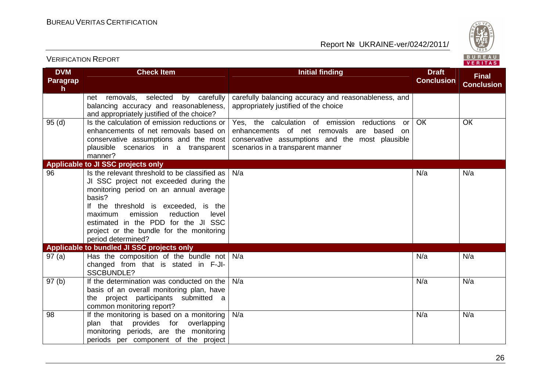

| <b>DVM</b>    | <b>Check Item</b>                                                                                                                                                                                                                                                                                                                                                                                                                      | Initial finding                                                                                                                                                                                     | <b>Draft</b>      | <b>Final</b>      |
|---------------|----------------------------------------------------------------------------------------------------------------------------------------------------------------------------------------------------------------------------------------------------------------------------------------------------------------------------------------------------------------------------------------------------------------------------------------|-----------------------------------------------------------------------------------------------------------------------------------------------------------------------------------------------------|-------------------|-------------------|
| Paragrap<br>h |                                                                                                                                                                                                                                                                                                                                                                                                                                        |                                                                                                                                                                                                     | <b>Conclusion</b> | <b>Conclusion</b> |
|               | net removals, selected by carefully<br>balancing accuracy and reasonableness,<br>and appropriately justified of the choice?                                                                                                                                                                                                                                                                                                            | carefully balancing accuracy and reasonableness, and<br>appropriately justified of the choice                                                                                                       |                   |                   |
| 95(d)         | Is the calculation of emission reductions or<br>enhancements of net removals based on<br>conservative assumptions and the most<br>plausible scenarios in a transparent<br>manner?                                                                                                                                                                                                                                                      | Yes, the calculation of emission<br>reductions<br><b>or</b><br>enhancements of net removals are based<br>on<br>conservative assumptions and the most plausible<br>scenarios in a transparent manner | <b>OK</b>         | OK                |
|               | Applicable to JI SSC projects only                                                                                                                                                                                                                                                                                                                                                                                                     |                                                                                                                                                                                                     |                   |                   |
| 96<br>97(a)   | Is the relevant threshold to be classified as<br>JI SSC project not exceeded during the<br>monitoring period on an annual average<br>basis?<br>If the threshold is exceeded, is the<br>emission<br>reduction<br>level<br>maximum<br>estimated in the PDD for the JI SSC<br>project or the bundle for the monitoring<br>period determined?<br>Applicable to bundled JI SSC projects only<br>Has the composition of the bundle not $N/a$ | N/a                                                                                                                                                                                                 | N/a<br>N/a        | N/a<br>N/a        |
|               | changed from that is stated in F-JI-<br><b>SSCBUNDLE?</b>                                                                                                                                                                                                                                                                                                                                                                              |                                                                                                                                                                                                     |                   |                   |
| 97(b)         | If the determination was conducted on the<br>basis of an overall monitoring plan, have<br>the project participants submitted a<br>common monitoring report?                                                                                                                                                                                                                                                                            | N/a                                                                                                                                                                                                 | N/a               | N/a               |
| 98            | If the monitoring is based on a monitoring<br>plan that provides for overlapping<br>monitoring periods, are the monitoring<br>periods per component of the project                                                                                                                                                                                                                                                                     | N/a                                                                                                                                                                                                 | N/a               | N/a               |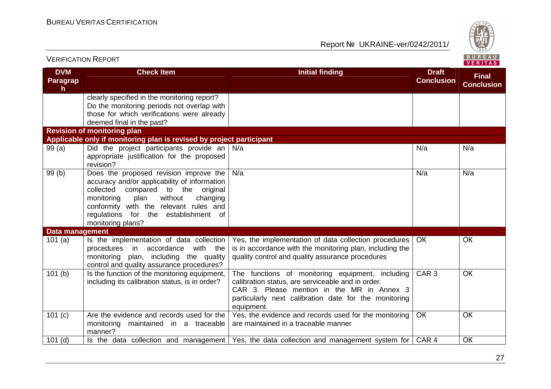

| <b>DVM</b><br><b>Check Item</b><br><b>Initial finding</b><br><b>Draft</b><br><b>Final</b><br><b>Conclusion</b><br><b>Paragrap</b><br><b>Conclusion</b><br>h<br>clearly specified in the monitoring report?<br>Do the monitoring periods not overlap with<br>those for which verifications were already<br>deemed final in the past?<br><b>Revision of monitoring plan</b><br>Applicable only if monitoring plan is revised by project participant<br>Did the project participants provide an $N/a$<br>99(a)<br>N/a<br>N/a<br>appropriate justification for the proposed<br>revision?<br>99(b)<br>Does the proposed revision improve the<br>N/a<br>N/a<br>N/a<br>accuracy and/or applicability of information<br>collected compared to the original<br>without<br>monitoring<br>plan<br>changing<br>conformity with the relevant rules and<br>regulations for the establishment of<br>monitoring plans?<br>Data management<br>101(a)<br>Yes, the implementation of data collection procedures<br><b>OK</b><br>OK<br>Is the implementation of data collection<br>is in accordance with the monitoring plan, including the<br>procedures in accordance with the<br>monitoring plan, including the quality<br>quality control and quality assurance procedures<br>control and quality assurance procedures?<br>Is the function of the monitoring equipment,<br>The functions of monitoring equipment, including<br>CAR <sub>3</sub><br><b>OK</b><br>101(b)<br>calibration status, are serviceable and in order.<br>including its calibration status, is in order?<br>CAR 3. Please mention in the MR in Annex 3<br>particularly next calibration date for the monitoring<br>equipment.<br>OK<br>101(c)<br>Are the evidence and records used for the<br>Yes, the evidence and records used for the monitoring<br>OK<br>are maintained in a traceable manner<br>monitoring maintained in a traceable<br>manner?<br>CAR <sub>4</sub><br>OK<br>$101$ (d)<br>Is the data collection and management   Yes, the data collection and management system for | <b>VERIFICATION REPORT</b> |  | BUREAU<br>VERITAS |
|------------------------------------------------------------------------------------------------------------------------------------------------------------------------------------------------------------------------------------------------------------------------------------------------------------------------------------------------------------------------------------------------------------------------------------------------------------------------------------------------------------------------------------------------------------------------------------------------------------------------------------------------------------------------------------------------------------------------------------------------------------------------------------------------------------------------------------------------------------------------------------------------------------------------------------------------------------------------------------------------------------------------------------------------------------------------------------------------------------------------------------------------------------------------------------------------------------------------------------------------------------------------------------------------------------------------------------------------------------------------------------------------------------------------------------------------------------------------------------------------------------------------------------------------------------------------------------------------------------------------------------------------------------------------------------------------------------------------------------------------------------------------------------------------------------------------------------------------------------------------------------------------------------------------------------------------------------------------------------------------------------------------------------------------|----------------------------|--|-------------------|
|                                                                                                                                                                                                                                                                                                                                                                                                                                                                                                                                                                                                                                                                                                                                                                                                                                                                                                                                                                                                                                                                                                                                                                                                                                                                                                                                                                                                                                                                                                                                                                                                                                                                                                                                                                                                                                                                                                                                                                                                                                                |                            |  |                   |
|                                                                                                                                                                                                                                                                                                                                                                                                                                                                                                                                                                                                                                                                                                                                                                                                                                                                                                                                                                                                                                                                                                                                                                                                                                                                                                                                                                                                                                                                                                                                                                                                                                                                                                                                                                                                                                                                                                                                                                                                                                                |                            |  |                   |
|                                                                                                                                                                                                                                                                                                                                                                                                                                                                                                                                                                                                                                                                                                                                                                                                                                                                                                                                                                                                                                                                                                                                                                                                                                                                                                                                                                                                                                                                                                                                                                                                                                                                                                                                                                                                                                                                                                                                                                                                                                                |                            |  |                   |
|                                                                                                                                                                                                                                                                                                                                                                                                                                                                                                                                                                                                                                                                                                                                                                                                                                                                                                                                                                                                                                                                                                                                                                                                                                                                                                                                                                                                                                                                                                                                                                                                                                                                                                                                                                                                                                                                                                                                                                                                                                                |                            |  |                   |
|                                                                                                                                                                                                                                                                                                                                                                                                                                                                                                                                                                                                                                                                                                                                                                                                                                                                                                                                                                                                                                                                                                                                                                                                                                                                                                                                                                                                                                                                                                                                                                                                                                                                                                                                                                                                                                                                                                                                                                                                                                                |                            |  |                   |
|                                                                                                                                                                                                                                                                                                                                                                                                                                                                                                                                                                                                                                                                                                                                                                                                                                                                                                                                                                                                                                                                                                                                                                                                                                                                                                                                                                                                                                                                                                                                                                                                                                                                                                                                                                                                                                                                                                                                                                                                                                                |                            |  |                   |
|                                                                                                                                                                                                                                                                                                                                                                                                                                                                                                                                                                                                                                                                                                                                                                                                                                                                                                                                                                                                                                                                                                                                                                                                                                                                                                                                                                                                                                                                                                                                                                                                                                                                                                                                                                                                                                                                                                                                                                                                                                                |                            |  |                   |
|                                                                                                                                                                                                                                                                                                                                                                                                                                                                                                                                                                                                                                                                                                                                                                                                                                                                                                                                                                                                                                                                                                                                                                                                                                                                                                                                                                                                                                                                                                                                                                                                                                                                                                                                                                                                                                                                                                                                                                                                                                                |                            |  |                   |
|                                                                                                                                                                                                                                                                                                                                                                                                                                                                                                                                                                                                                                                                                                                                                                                                                                                                                                                                                                                                                                                                                                                                                                                                                                                                                                                                                                                                                                                                                                                                                                                                                                                                                                                                                                                                                                                                                                                                                                                                                                                |                            |  |                   |
|                                                                                                                                                                                                                                                                                                                                                                                                                                                                                                                                                                                                                                                                                                                                                                                                                                                                                                                                                                                                                                                                                                                                                                                                                                                                                                                                                                                                                                                                                                                                                                                                                                                                                                                                                                                                                                                                                                                                                                                                                                                |                            |  |                   |
|                                                                                                                                                                                                                                                                                                                                                                                                                                                                                                                                                                                                                                                                                                                                                                                                                                                                                                                                                                                                                                                                                                                                                                                                                                                                                                                                                                                                                                                                                                                                                                                                                                                                                                                                                                                                                                                                                                                                                                                                                                                |                            |  |                   |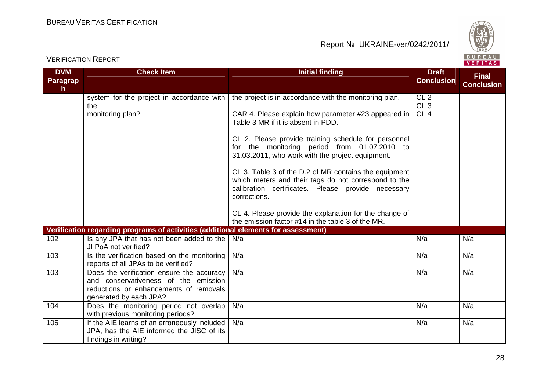

| <b>DVM</b><br>Paragrap<br>h. | <b>Check Item</b>                                                                                                                                     | <b>Initial finding</b>                                                                                                                                                              | <b>Draft</b><br><b>Conclusion</b>         | <b>Final</b><br><b>Conclusion</b> |
|------------------------------|-------------------------------------------------------------------------------------------------------------------------------------------------------|-------------------------------------------------------------------------------------------------------------------------------------------------------------------------------------|-------------------------------------------|-----------------------------------|
|                              | system for the project in accordance with<br>the<br>monitoring plan?                                                                                  | the project is in accordance with the monitoring plan.<br>CAR 4. Please explain how parameter #23 appeared in<br>Table 3 MR if it is absent in PDD.                                 | CL <sub>2</sub><br>CL3<br>CL <sub>4</sub> |                                   |
|                              |                                                                                                                                                       | CL 2. Please provide training schedule for personnel<br>for the monitoring period from 01.07.2010 to<br>31.03.2011, who work with the project equipment.                            |                                           |                                   |
|                              |                                                                                                                                                       | CL 3. Table 3 of the D.2 of MR contains the equipment<br>which meters and their tags do not correspond to the<br>calibration certificates. Please provide necessary<br>corrections. |                                           |                                   |
|                              |                                                                                                                                                       | CL 4. Please provide the explanation for the change of<br>the emission factor #14 in the table 3 of the MR.                                                                         |                                           |                                   |
|                              | Verification regarding programs of activities (additional elements for assessment)                                                                    |                                                                                                                                                                                     |                                           |                                   |
| 102                          | Is any JPA that has not been added to the<br>JI PoA not verified?                                                                                     | N/a                                                                                                                                                                                 | N/a                                       | N/a                               |
| 103                          | Is the verification based on the monitoring<br>reports of all JPAs to be verified?                                                                    | N/a                                                                                                                                                                                 | N/a                                       | N/a                               |
| 103                          | Does the verification ensure the accuracy<br>and conservativeness of the emission<br>reductions or enhancements of removals<br>generated by each JPA? | N/a                                                                                                                                                                                 | N/a                                       | N/a                               |
| 104                          | Does the monitoring period not overlap<br>with previous monitoring periods?                                                                           | N/a                                                                                                                                                                                 | N/a                                       | N/a                               |
| 105                          | If the AIE learns of an erroneously included<br>JPA, has the AIE informed the JISC of its<br>findings in writing?                                     | N/a                                                                                                                                                                                 | N/a                                       | N/a                               |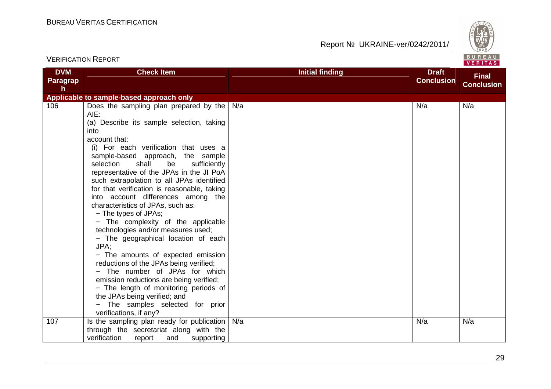

| <b>DVM</b>            | <b>Check Item</b>                                                                                                                                                                                                                                                                                                                                                                                                                                                                                                                                                                                                                                                                                                                                                                                                                                                                              | <b>Initial finding</b> | <b>Draft</b>      | <b>Final</b>      |
|-----------------------|------------------------------------------------------------------------------------------------------------------------------------------------------------------------------------------------------------------------------------------------------------------------------------------------------------------------------------------------------------------------------------------------------------------------------------------------------------------------------------------------------------------------------------------------------------------------------------------------------------------------------------------------------------------------------------------------------------------------------------------------------------------------------------------------------------------------------------------------------------------------------------------------|------------------------|-------------------|-------------------|
| <b>Paragrap</b><br>h. |                                                                                                                                                                                                                                                                                                                                                                                                                                                                                                                                                                                                                                                                                                                                                                                                                                                                                                |                        | <b>Conclusion</b> | <b>Conclusion</b> |
|                       | Applicable to sample-based approach only                                                                                                                                                                                                                                                                                                                                                                                                                                                                                                                                                                                                                                                                                                                                                                                                                                                       |                        |                   |                   |
| 106                   | Does the sampling plan prepared by the<br>AIE:<br>(a) Describe its sample selection, taking<br>into<br>account that:<br>(i) For each verification that uses a<br>sample-based approach, the sample<br>selection<br>shall<br>be<br>sufficiently<br>representative of the JPAs in the JI PoA<br>such extrapolation to all JPAs identified<br>for that verification is reasonable, taking<br>into account differences among the<br>characteristics of JPAs, such as:<br>- The types of JPAs;<br>- The complexity of the applicable<br>technologies and/or measures used;<br>- The geographical location of each<br>JPA:<br>- The amounts of expected emission<br>reductions of the JPAs being verified;<br>- The number of JPAs for which<br>emission reductions are being verified;<br>- The length of monitoring periods of<br>the JPAs being verified; and<br>- The samples selected for prior | N/a                    | N/a               | N/a               |
|                       | verifications, if any?                                                                                                                                                                                                                                                                                                                                                                                                                                                                                                                                                                                                                                                                                                                                                                                                                                                                         |                        |                   |                   |
| 107                   | Is the sampling plan ready for publication<br>through the secretariat along with the<br>verification<br>supporting<br>report<br>and                                                                                                                                                                                                                                                                                                                                                                                                                                                                                                                                                                                                                                                                                                                                                            | N/a                    | N/a               | N/a               |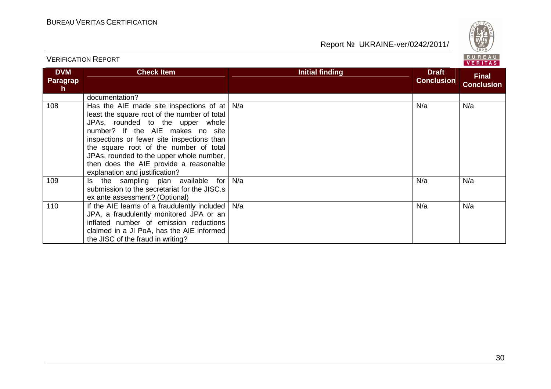

| <b>DVM</b><br><b>Paragrap</b><br>h. | <b>Check Item</b>                                                                                                                                                                                                                                                                                                                                                               | <b>Initial finding</b> | <b>Draft</b><br><b>Conclusion</b> | <b>Final</b><br><b>Conclusion</b> |
|-------------------------------------|---------------------------------------------------------------------------------------------------------------------------------------------------------------------------------------------------------------------------------------------------------------------------------------------------------------------------------------------------------------------------------|------------------------|-----------------------------------|-----------------------------------|
|                                     | documentation?                                                                                                                                                                                                                                                                                                                                                                  |                        |                                   |                                   |
| 108                                 | Has the AIE made site inspections of at<br>least the square root of the number of total<br>JPAs, rounded to the upper whole<br>number? If the AIE makes no site<br>inspections or fewer site inspections than<br>the square root of the number of total<br>JPAs, rounded to the upper whole number,<br>then does the AIE provide a reasonable<br>explanation and justification? | N/a                    | N/a                               | N/a                               |
| 109                                 | Is the sampling plan available for<br>submission to the secretariat for the JISC.s<br>ex ante assessment? (Optional)                                                                                                                                                                                                                                                            | N/a                    | N/a                               | N/a                               |
| 110                                 | If the AIE learns of a fraudulently included<br>JPA, a fraudulently monitored JPA or an<br>inflated number of emission reductions<br>claimed in a JI PoA, has the AIE informed<br>the JISC of the fraud in writing?                                                                                                                                                             | N/a                    | N/a                               | N/a                               |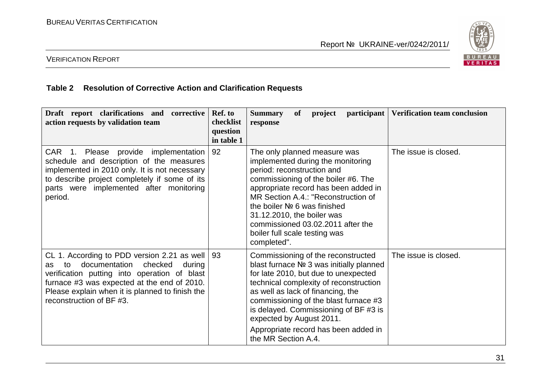

#### VERIFICATION REPORT

#### **Table 2 Resolution of Corrective Action and Clarification Requests**

| Draft report clarifications and corrective<br>action requests by validation team                                                                                                                                                                                           | Ref. to<br>checklist<br>question<br>in table 1 | <i>participant</i><br>Verification team conclusion<br><b>of</b><br><b>Summary</b><br>project<br>response                                                                                                                                                                                                                                                                                                   |
|----------------------------------------------------------------------------------------------------------------------------------------------------------------------------------------------------------------------------------------------------------------------------|------------------------------------------------|------------------------------------------------------------------------------------------------------------------------------------------------------------------------------------------------------------------------------------------------------------------------------------------------------------------------------------------------------------------------------------------------------------|
| CAR 1. Please provide implementation<br>schedule and description of the measures<br>implemented in 2010 only. It is not necessary<br>to describe project completely if some of its<br>parts were implemented after monitoring<br>period.                                   | 92                                             | The issue is closed.<br>The only planned measure was<br>implemented during the monitoring<br>period: reconstruction and<br>commissioning of the boiler #6. The<br>appropriate record has been added in<br>MR Section A.4.: "Reconstruction of<br>the boiler $N2$ 6 was finished<br>31.12.2010, the boiler was<br>commissioned 03.02.2011 after the<br>boiler full scale testing was<br>completed".         |
| CL 1. According to PDD version 2.21 as well<br>documentation<br>checked<br>during<br>to<br>as<br>verification putting into operation of blast<br>furnace #3 was expected at the end of 2010.<br>Please explain when it is planned to finish the<br>reconstruction of BF#3. | 93                                             | The issue is closed.<br>Commissioning of the reconstructed<br>blast furnace Nº 3 was initially planned<br>for late 2010, but due to unexpected<br>technical complexity of reconstruction<br>as well as lack of financing, the<br>commissioning of the blast furnace #3<br>is delayed. Commissioning of BF #3 is<br>expected by August 2011.<br>Appropriate record has been added in<br>the MR Section A.4. |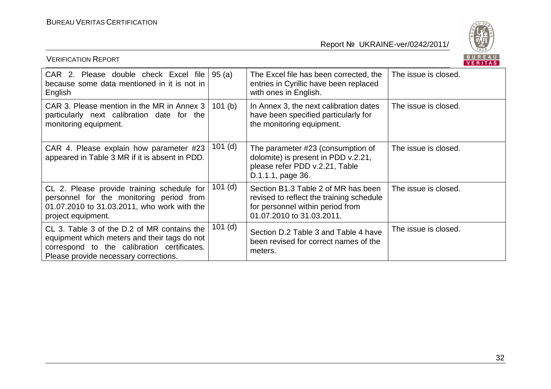

| <b>VERIFICATION REPORT</b>                                                                                                                                                          |           |                                                                                                                                                  | BUREAU<br><b>VERITAS</b> |
|-------------------------------------------------------------------------------------------------------------------------------------------------------------------------------------|-----------|--------------------------------------------------------------------------------------------------------------------------------------------------|--------------------------|
| CAR 2. Please double check Excel file<br>because some data mentioned in it is not in<br>English                                                                                     | 95(a)     | The Excel file has been corrected, the<br>entries in Cyrillic have been replaced<br>with ones in English.                                        | The issue is closed.     |
| CAR 3. Please mention in the MR in Annex 3<br>particularly next calibration date for the<br>monitoring equipment.                                                                   | 101(b)    | In Annex 3, the next calibration dates<br>have been specified particularly for<br>the monitoring equipment.                                      | The issue is closed.     |
| CAR 4. Please explain how parameter #23<br>appeared in Table 3 MR if it is absent in PDD.                                                                                           | $101$ (d) | The parameter #23 (consumption of<br>dolomite) is present in PDD v.2.21,<br>please refer PDD v.2.21, Table<br>D.1.1.1, page 36.                  | The issue is closed.     |
| CL 2. Please provide training schedule for<br>personnel for the monitoring period from<br>01.07.2010 to 31.03.2011, who work with the<br>project equipment.                         | $101$ (d) | Section B1.3 Table 2 of MR has been<br>revised to reflect the training schedule<br>for personnel within period from<br>01.07.2010 to 31.03.2011. | The issue is closed.     |
| CL 3. Table 3 of the D.2 of MR contains the<br>equipment which meters and their tags do not<br>correspond to the calibration certificates.<br>Please provide necessary corrections. | $101$ (d) | Section D.2 Table 3 and Table 4 have<br>been revised for correct names of the<br>meters.                                                         | The issue is closed.     |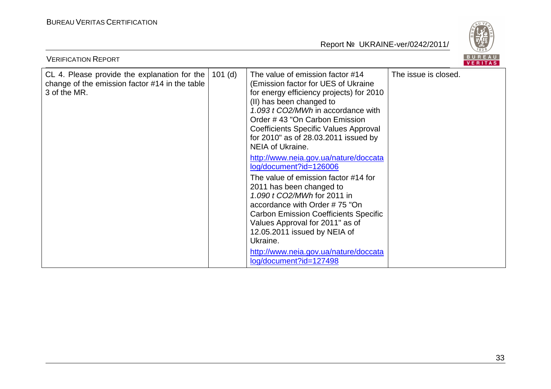

| <b>VERIFICATION REPORT</b>                                                                                     |           |                                                                                                                                                                                                                                                                                                                                           |                      |  |  |
|----------------------------------------------------------------------------------------------------------------|-----------|-------------------------------------------------------------------------------------------------------------------------------------------------------------------------------------------------------------------------------------------------------------------------------------------------------------------------------------------|----------------------|--|--|
| CL 4. Please provide the explanation for the<br>change of the emission factor #14 in the table<br>3 of the MR. | $101$ (d) | The value of emission factor #14<br>(Emission factor for UES of Ukraine<br>for energy efficiency projects) for 2010<br>(II) has been changed to<br>1.093 t CO2/MWh in accordance with<br>Order #43 "On Carbon Emission<br><b>Coefficients Specific Values Approval</b><br>for 2010" as of 28.03.2011 issued by<br><b>NEIA of Ukraine.</b> | The issue is closed. |  |  |
|                                                                                                                |           | http://www.neia.gov.ua/nature/doccata<br>log/document?id=126006<br>The value of emission factor #14 for<br>2011 has been changed to<br>1.090 t CO2/MWh for 2011 in<br>accordance with Order #75 "On<br><b>Carbon Emission Coefficients Specific</b><br>Values Approval for 2011" as of<br>12.05.2011 issued by NEIA of<br>Ukraine.        |                      |  |  |
|                                                                                                                |           | http://www.neia.gov.ua/nature/doccata<br>log/document?id=127498                                                                                                                                                                                                                                                                           |                      |  |  |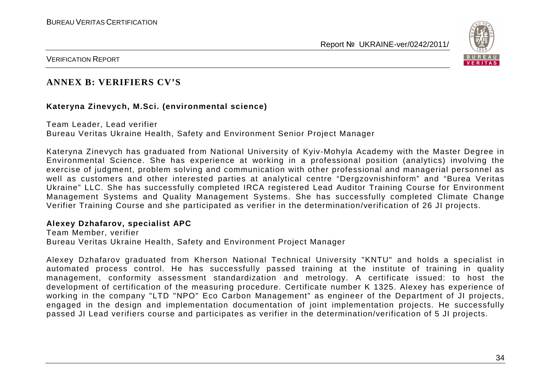

VERIFICATION REPORT

#### **ANNEX B: VERIFIERS CV'S**

#### **Kateryna Zinevych, M.Sci. (environmental science)**

Team Leader, Lead verifier Bureau Veritas Ukraine Health, Safety and Environment Senior Project Manager

Kateryna Zinevych has graduated from National University of Kyiv-Mohyla Academy with the Master Degree in Environmental Science. She has experience at working in a professional position (analytics) involving the exercise of judgment, problem solving and communication with other professional and managerial personnel as well as customers and other interested parties at analytical centre "Dergzovnishinform" and "Burea Veritas Ukraine" LLC. She has successfully completed IRCA registered Lead Auditor Training Course for Environment Management Systems and Quality Management Systems. She has successfully completed Climate Change Verifier Training Course and she participated as verifier in the determination/verification of 26 JI projects.

#### **Alexey Dzhafarov, specialist APC**

Team Member, verifier Bureau Veritas Ukraine Health, Safety and Environment Project Manager

Alexey Dzhafarov graduated from Kherson National Technical University "KNTU" and holds a specialist in automated process control. He has successfully passed training at the institute of training in quality management, conformity assessment standardization and metrology. A certificate issued: to host the development of certification of the measuring procedure. Certificate number K 1325. Alexey has experience of working in the company "LTD "NPO" Eco Carbon Management" as engineer of the Department of JI projects, engaged in the design and implementation documentation of joint implementation projects. He successfully passed JI Lead verifiers course and participates as verifier in the determination/verification of 5 JI projects.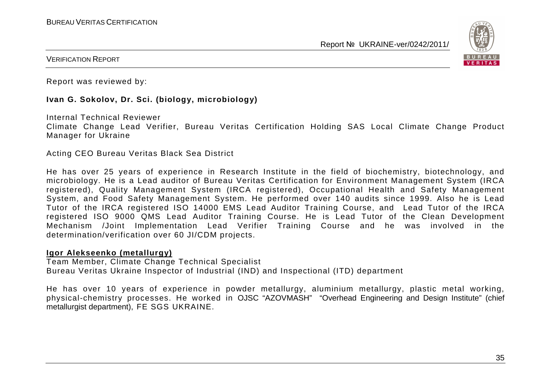

VERIFICATION REPORT

Report was reviewed by:

#### **Ivan G. Sokolov, Dr. Sci. (biology, microbiology)**

Internal Technical Reviewer

 Climate Change Lead Verifier, Bureau Veritas Certification Holding SAS Local Climate Change Product Manager for Ukraine

Acting CEO Bureau Veritas Black Sea District

He has over 25 years of experience in Research Institute in the field of biochemistry, biotechnology, and microbiology. He is a Lead auditor of Bureau Veritas Certification for Environment Management System (IRCA registered), Quality Management System (IRCA registered), Occupational Health and Safety Management System, and Food Safety Management System. He performed over 140 audits since 1999. Also he is Lead Tutor of the IRCA registered ISO 14000 EMS Lead Auditor Training Course, and Lead Tutor of the IRCA registered ISO 9000 QMS Lead Auditor Training Course. He is Lead Tutor of the Clean Development Mechanism /Joint Implementation Lead Verifier Training Course and he was involved in the determination/verification over 60 JI/CDM projects.

#### **Igor Alekseenko (metallurgy)**

 Team Member, Climate Change Technical Specialist Bureau Veritas Ukraine Inspector of Industrial (IND) and Inspectional (ITD) department

He has over 10 years of experience in powder metallurgy, aluminium metallurgy, plastic metal working, physical-chemistry processes. He worked in OJSC "AZOVMASH" "Overhead Engineering and Design Institute" (chief metallurgist department), FE SGS UKRAINE.